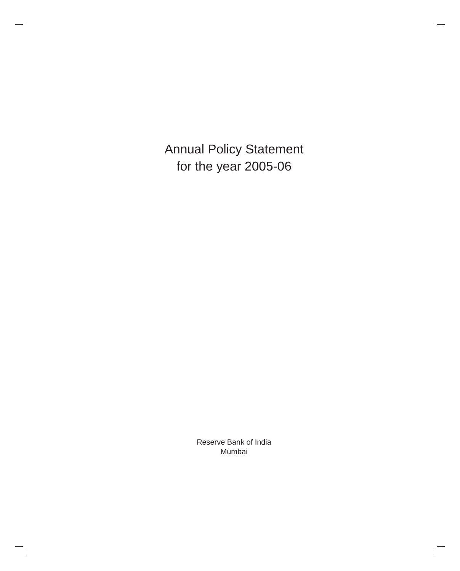Annual Policy Statement for the year 2005-06

> Reserve Bank of India Mumbai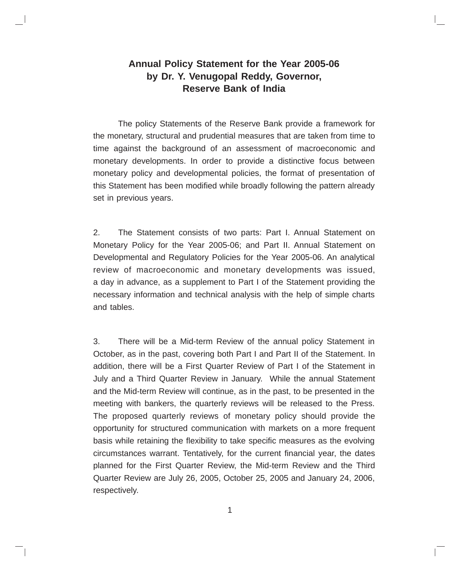## **Annual Policy Statement for the Year 2005-06 by Dr. Y. Venugopal Reddy, Governor, Reserve Bank of India**

The policy Statements of the Reserve Bank provide a framework for the monetary, structural and prudential measures that are taken from time to time against the background of an assessment of macroeconomic and monetary developments. In order to provide a distinctive focus between monetary policy and developmental policies, the format of presentation of this Statement has been modified while broadly following the pattern already set in previous years.

2. The Statement consists of two parts: Part I. Annual Statement on Monetary Policy for the Year 2005-06; and Part II. Annual Statement on Developmental and Regulatory Policies for the Year 2005-06. An analytical review of macroeconomic and monetary developments was issued, a day in advance, as a supplement to Part I of the Statement providing the necessary information and technical analysis with the help of simple charts and tables.

3. There will be a Mid-term Review of the annual policy Statement in October, as in the past, covering both Part I and Part II of the Statement. In addition, there will be a First Quarter Review of Part I of the Statement in July and a Third Quarter Review in January. While the annual Statement and the Mid-term Review will continue, as in the past, to be presented in the meeting with bankers, the quarterly reviews will be released to the Press. The proposed quarterly reviews of monetary policy should provide the opportunity for structured communication with markets on a more frequent basis while retaining the flexibility to take specific measures as the evolving circumstances warrant. Tentatively, for the current financial year, the dates planned for the First Quarter Review, the Mid-term Review and the Third Quarter Review are July 26, 2005, October 25, 2005 and January 24, 2006, respectively.

1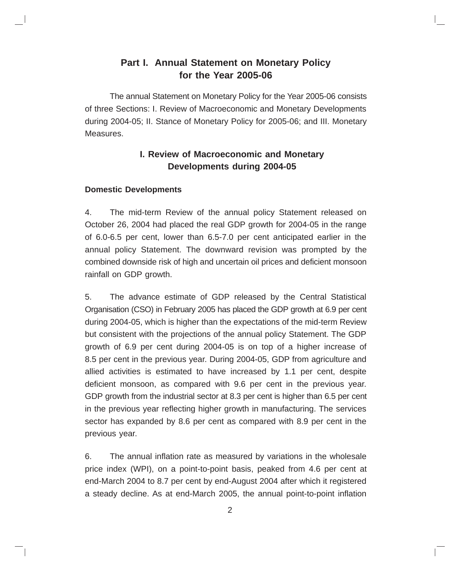## **Part I. Annual Statement on Monetary Policy for the Year 2005-06**

The annual Statement on Monetary Policy for the Year 2005-06 consists of three Sections: I. Review of Macroeconomic and Monetary Developments during 2004-05; II. Stance of Monetary Policy for 2005-06; and III. Monetary Measures.

## **I. Review of Macroeconomic and Monetary Developments during 2004-05**

#### **Domestic Developments**

4. The mid-term Review of the annual policy Statement released on October 26, 2004 had placed the real GDP growth for 2004-05 in the range of 6.0-6.5 per cent, lower than 6.5-7.0 per cent anticipated earlier in the annual policy Statement. The downward revision was prompted by the combined downside risk of high and uncertain oil prices and deficient monsoon rainfall on GDP growth.

5. The advance estimate of GDP released by the Central Statistical Organisation (CSO) in February 2005 has placed the GDP growth at 6.9 per cent during 2004-05, which is higher than the expectations of the mid-term Review but consistent with the projections of the annual policy Statement. The GDP growth of 6.9 per cent during 2004-05 is on top of a higher increase of 8.5 per cent in the previous year. During 2004-05, GDP from agriculture and allied activities is estimated to have increased by 1.1 per cent, despite deficient monsoon, as compared with 9.6 per cent in the previous year. GDP growth from the industrial sector at 8.3 per cent is higher than 6.5 per cent in the previous year reflecting higher growth in manufacturing. The services sector has expanded by 8.6 per cent as compared with 8.9 per cent in the previous year.

6. The annual inflation rate as measured by variations in the wholesale price index (WPI), on a point-to-point basis, peaked from 4.6 per cent at end-March 2004 to 8.7 per cent by end-August 2004 after which it registered a steady decline. As at end-March 2005, the annual point-to-point inflation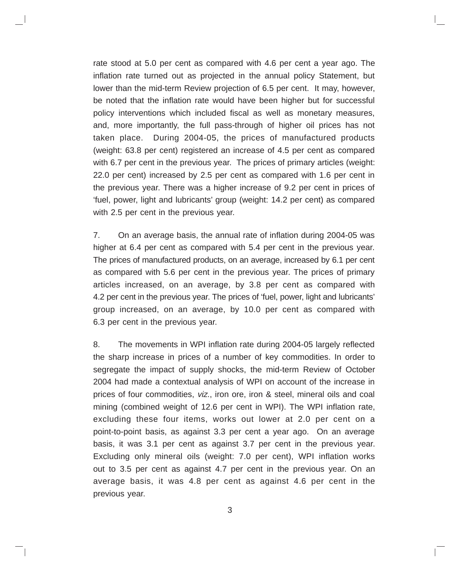rate stood at 5.0 per cent as compared with 4.6 per cent a year ago. The inflation rate turned out as projected in the annual policy Statement, but lower than the mid-term Review projection of 6.5 per cent. It may, however, be noted that the inflation rate would have been higher but for successful policy interventions which included fiscal as well as monetary measures, and, more importantly, the full pass-through of higher oil prices has not taken place. During 2004-05, the prices of manufactured products (weight: 63.8 per cent) registered an increase of 4.5 per cent as compared with 6.7 per cent in the previous year. The prices of primary articles (weight: 22.0 per cent) increased by 2.5 per cent as compared with 1.6 per cent in the previous year. There was a higher increase of 9.2 per cent in prices of 'fuel, power, light and lubricants' group (weight: 14.2 per cent) as compared with 2.5 per cent in the previous year.

7. On an average basis, the annual rate of inflation during 2004-05 was higher at 6.4 per cent as compared with 5.4 per cent in the previous year. The prices of manufactured products, on an average, increased by 6.1 per cent as compared with 5.6 per cent in the previous year. The prices of primary articles increased, on an average, by 3.8 per cent as compared with 4.2 per cent in the previous year. The prices of 'fuel, power, light and lubricants' group increased, on an average, by 10.0 per cent as compared with 6.3 per cent in the previous year.

8. The movements in WPI inflation rate during 2004-05 largely reflected the sharp increase in prices of a number of key commodities. In order to segregate the impact of supply shocks, the mid-term Review of October 2004 had made a contextual analysis of WPI on account of the increase in prices of four commodities, viz., iron ore, iron & steel, mineral oils and coal mining (combined weight of 12.6 per cent in WPI). The WPI inflation rate, excluding these four items, works out lower at 2.0 per cent on a point-to-point basis, as against 3.3 per cent a year ago. On an average basis, it was 3.1 per cent as against 3.7 per cent in the previous year. Excluding only mineral oils (weight: 7.0 per cent), WPI inflation works out to 3.5 per cent as against 4.7 per cent in the previous year. On an average basis, it was 4.8 per cent as against 4.6 per cent in the previous year.

3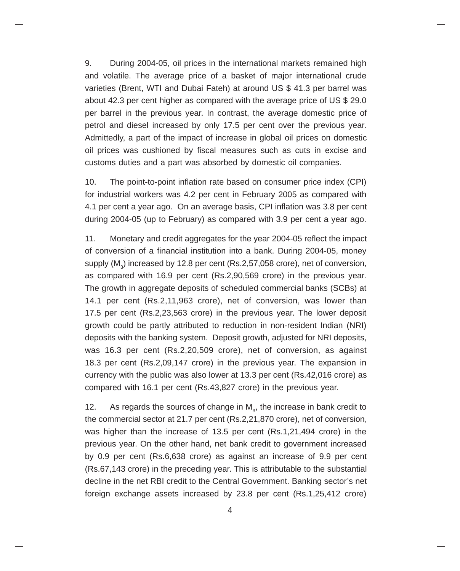9. During 2004-05, oil prices in the international markets remained high and volatile. The average price of a basket of major international crude varieties (Brent, WTI and Dubai Fateh) at around US \$ 41.3 per barrel was about 42.3 per cent higher as compared with the average price of US \$ 29.0 per barrel in the previous year. In contrast, the average domestic price of petrol and diesel increased by only 17.5 per cent over the previous year. Admittedly, a part of the impact of increase in global oil prices on domestic oil prices was cushioned by fiscal measures such as cuts in excise and customs duties and a part was absorbed by domestic oil companies.

10. The point-to-point inflation rate based on consumer price index (CPI) for industrial workers was 4.2 per cent in February 2005 as compared with 4.1 per cent a year ago. On an average basis, CPI inflation was 3.8 per cent during 2004-05 (up to February) as compared with 3.9 per cent a year ago.

11. Monetary and credit aggregates for the year 2004-05 reflect the impact of conversion of a financial institution into a bank. During 2004-05, money supply (M $_{\scriptscriptstyle 3}$ ) increased by 12.8 per cent (Rs.2,57,058 crore), net of conversion, as compared with 16.9 per cent (Rs.2,90,569 crore) in the previous year. The growth in aggregate deposits of scheduled commercial banks (SCBs) at 14.1 per cent (Rs.2,11,963 crore), net of conversion, was lower than 17.5 per cent (Rs.2,23,563 crore) in the previous year. The lower deposit growth could be partly attributed to reduction in non-resident Indian (NRI) deposits with the banking system. Deposit growth, adjusted for NRI deposits, was 16.3 per cent (Rs.2,20,509 crore), net of conversion, as against 18.3 per cent (Rs.2,09,147 crore) in the previous year. The expansion in currency with the public was also lower at 13.3 per cent (Rs.42,016 crore) as compared with 16.1 per cent (Rs.43,827 crore) in the previous year.

12. As regards the sources of change in  $M_{3}$ , the increase in bank credit to the commercial sector at 21.7 per cent (Rs.2,21,870 crore), net of conversion, was higher than the increase of 13.5 per cent (Rs.1,21,494 crore) in the previous year. On the other hand, net bank credit to government increased by 0.9 per cent (Rs.6,638 crore) as against an increase of 9.9 per cent (Rs.67,143 crore) in the preceding year. This is attributable to the substantial decline in the net RBI credit to the Central Government. Banking sector's net foreign exchange assets increased by 23.8 per cent (Rs.1,25,412 crore)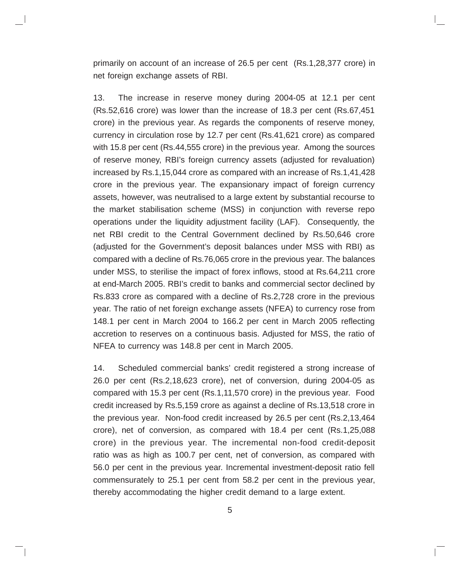primarily on account of an increase of 26.5 per cent (Rs.1,28,377 crore) in net foreign exchange assets of RBI.

13. The increase in reserve money during 2004-05 at 12.1 per cent (Rs.52,616 crore) was lower than the increase of 18.3 per cent (Rs.67,451 crore) in the previous year. As regards the components of reserve money, currency in circulation rose by 12.7 per cent (Rs.41,621 crore) as compared with 15.8 per cent (Rs.44,555 crore) in the previous year. Among the sources of reserve money, RBI's foreign currency assets (adjusted for revaluation) increased by Rs.1,15,044 crore as compared with an increase of Rs.1,41,428 crore in the previous year. The expansionary impact of foreign currency assets, however, was neutralised to a large extent by substantial recourse to the market stabilisation scheme (MSS) in conjunction with reverse repo operations under the liquidity adjustment facility (LAF). Consequently, the net RBI credit to the Central Government declined by Rs.50,646 crore (adjusted for the Government's deposit balances under MSS with RBI) as compared with a decline of Rs.76,065 crore in the previous year. The balances under MSS, to sterilise the impact of forex inflows, stood at Rs.64,211 crore at end-March 2005. RBI's credit to banks and commercial sector declined by Rs.833 crore as compared with a decline of Rs.2,728 crore in the previous year. The ratio of net foreign exchange assets (NFEA) to currency rose from 148.1 per cent in March 2004 to 166.2 per cent in March 2005 reflecting accretion to reserves on a continuous basis. Adjusted for MSS, the ratio of NFEA to currency was 148.8 per cent in March 2005.

14. Scheduled commercial banks' credit registered a strong increase of 26.0 per cent (Rs.2,18,623 crore), net of conversion, during 2004-05 as compared with 15.3 per cent (Rs.1,11,570 crore) in the previous year. Food credit increased by Rs.5,159 crore as against a decline of Rs.13,518 crore in the previous year. Non-food credit increased by 26.5 per cent (Rs.2,13,464 crore), net of conversion, as compared with 18.4 per cent (Rs.1,25,088 crore) in the previous year. The incremental non-food credit-deposit ratio was as high as 100.7 per cent, net of conversion, as compared with 56.0 per cent in the previous year. Incremental investment-deposit ratio fell commensurately to 25.1 per cent from 58.2 per cent in the previous year, thereby accommodating the higher credit demand to a large extent.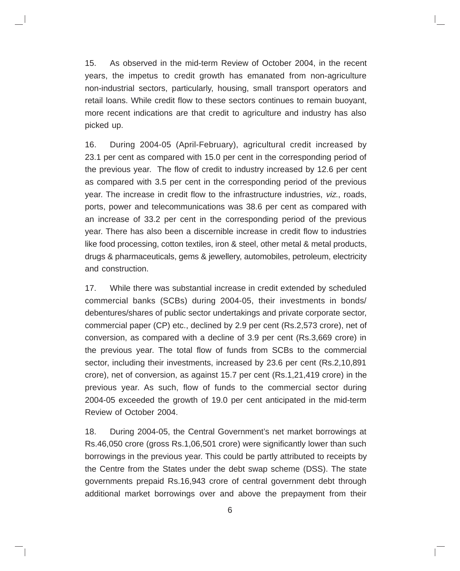15. As observed in the mid-term Review of October 2004, in the recent years, the impetus to credit growth has emanated from non-agriculture non-industrial sectors, particularly, housing, small transport operators and retail loans. While credit flow to these sectors continues to remain buoyant, more recent indications are that credit to agriculture and industry has also picked up.

16. During 2004-05 (April-February), agricultural credit increased by 23.1 per cent as compared with 15.0 per cent in the corresponding period of the previous year. The flow of credit to industry increased by 12.6 per cent as compared with 3.5 per cent in the corresponding period of the previous year. The increase in credit flow to the infrastructure industries, viz., roads, ports, power and telecommunications was 38.6 per cent as compared with an increase of 33.2 per cent in the corresponding period of the previous year. There has also been a discernible increase in credit flow to industries like food processing, cotton textiles, iron & steel, other metal & metal products, drugs & pharmaceuticals, gems & jewellery, automobiles, petroleum, electricity and construction.

17. While there was substantial increase in credit extended by scheduled commercial banks (SCBs) during 2004-05, their investments in bonds/ debentures/shares of public sector undertakings and private corporate sector, commercial paper (CP) etc., declined by 2.9 per cent (Rs.2,573 crore), net of conversion, as compared with a decline of 3.9 per cent (Rs.3,669 crore) in the previous year. The total flow of funds from SCBs to the commercial sector, including their investments, increased by 23.6 per cent (Rs.2,10,891 crore), net of conversion, as against 15.7 per cent (Rs.1,21,419 crore) in the previous year. As such, flow of funds to the commercial sector during 2004-05 exceeded the growth of 19.0 per cent anticipated in the mid-term Review of October 2004.

18. During 2004-05, the Central Government's net market borrowings at Rs.46,050 crore (gross Rs.1,06,501 crore) were significantly lower than such borrowings in the previous year. This could be partly attributed to receipts by the Centre from the States under the debt swap scheme (DSS). The state governments prepaid Rs.16,943 crore of central government debt through additional market borrowings over and above the prepayment from their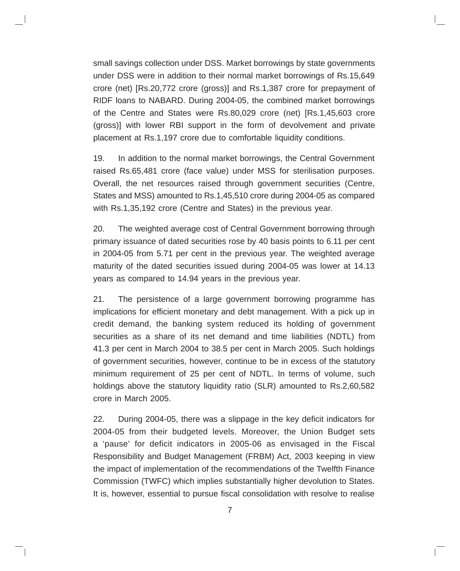small savings collection under DSS. Market borrowings by state governments under DSS were in addition to their normal market borrowings of Rs.15,649 crore (net) [Rs.20,772 crore (gross)] and Rs.1,387 crore for prepayment of RIDF loans to NABARD. During 2004-05, the combined market borrowings of the Centre and States were Rs.80,029 crore (net) [Rs.1,45,603 crore (gross)] with lower RBI support in the form of devolvement and private placement at Rs.1,197 crore due to comfortable liquidity conditions.

19. In addition to the normal market borrowings, the Central Government raised Rs.65,481 crore (face value) under MSS for sterilisation purposes. Overall, the net resources raised through government securities (Centre, States and MSS) amounted to Rs.1,45,510 crore during 2004-05 as compared with Rs.1,35,192 crore (Centre and States) in the previous year.

20. The weighted average cost of Central Government borrowing through primary issuance of dated securities rose by 40 basis points to 6.11 per cent in 2004-05 from 5.71 per cent in the previous year. The weighted average maturity of the dated securities issued during 2004-05 was lower at 14.13 years as compared to 14.94 years in the previous year.

21. The persistence of a large government borrowing programme has implications for efficient monetary and debt management. With a pick up in credit demand, the banking system reduced its holding of government securities as a share of its net demand and time liabilities (NDTL) from 41.3 per cent in March 2004 to 38.5 per cent in March 2005. Such holdings of government securities, however, continue to be in excess of the statutory minimum requirement of 25 per cent of NDTL. In terms of volume, such holdings above the statutory liquidity ratio (SLR) amounted to Rs.2,60,582 crore in March 2005.

22. During 2004-05, there was a slippage in the key deficit indicators for 2004-05 from their budgeted levels. Moreover, the Union Budget sets a 'pause' for deficit indicators in 2005-06 as envisaged in the Fiscal Responsibility and Budget Management (FRBM) Act, 2003 keeping in view the impact of implementation of the recommendations of the Twelfth Finance Commission (TWFC) which implies substantially higher devolution to States. It is, however, essential to pursue fiscal consolidation with resolve to realise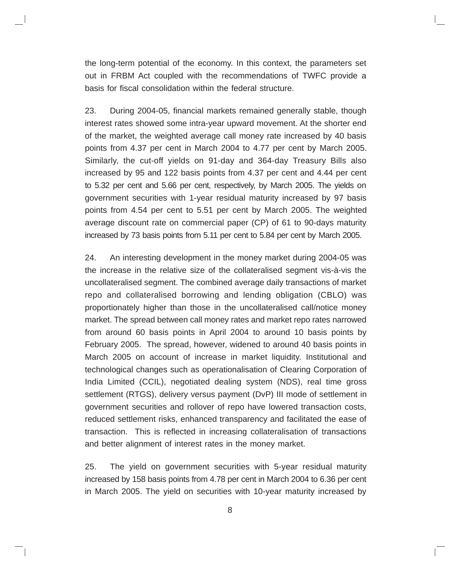the long-term potential of the economy. In this context, the parameters set out in FRBM Act coupled with the recommendations of TWFC provide a basis for fiscal consolidation within the federal structure.

23. During 2004-05, financial markets remained generally stable, though interest rates showed some intra-year upward movement. At the shorter end of the market, the weighted average call money rate increased by 40 basis points from 4.37 per cent in March 2004 to 4.77 per cent by March 2005. Similarly, the cut-off yields on 91-day and 364-day Treasury Bills also increased by 95 and 122 basis points from 4.37 per cent and 4.44 per cent to 5.32 per cent and 5.66 per cent, respectively, by March 2005. The yields on government securities with 1-year residual maturity increased by 97 basis points from 4.54 per cent to 5.51 per cent by March 2005. The weighted average discount rate on commercial paper (CP) of 61 to 90-days maturity increased by 73 basis points from 5.11 per cent to 5.84 per cent by March 2005.

24. An interesting development in the money market during 2004-05 was the increase in the relative size of the collateralised segment vis-à-vis the uncollateralised segment. The combined average daily transactions of market repo and collateralised borrowing and lending obligation (CBLO) was proportionately higher than those in the uncollateralised call/notice money market. The spread between call money rates and market repo rates narrowed from around 60 basis points in April 2004 to around 10 basis points by February 2005. The spread, however, widened to around 40 basis points in March 2005 on account of increase in market liquidity. Institutional and technological changes such as operationalisation of Clearing Corporation of India Limited (CCIL), negotiated dealing system (NDS), real time gross settlement (RTGS), delivery versus payment (DvP) III mode of settlement in government securities and rollover of repo have lowered transaction costs, reduced settlement risks, enhanced transparency and facilitated the ease of transaction. This is reflected in increasing collateralisation of transactions and better alignment of interest rates in the money market.

25. The yield on government securities with 5-year residual maturity increased by 158 basis points from 4.78 per cent in March 2004 to 6.36 per cent in March 2005. The yield on securities with 10-year maturity increased by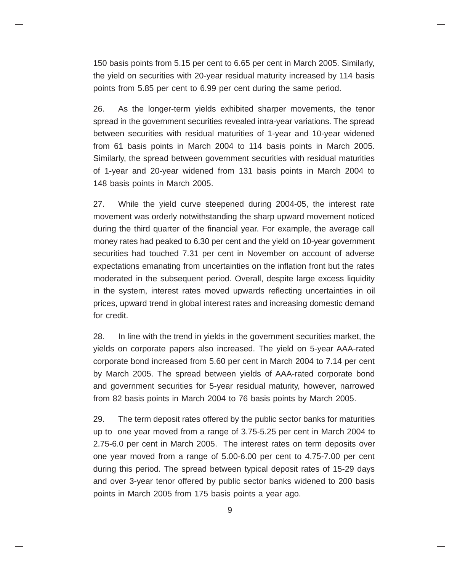150 basis points from 5.15 per cent to 6.65 per cent in March 2005. Similarly, the yield on securities with 20-year residual maturity increased by 114 basis points from 5.85 per cent to 6.99 per cent during the same period.

26. As the longer-term yields exhibited sharper movements, the tenor spread in the government securities revealed intra-year variations. The spread between securities with residual maturities of 1-year and 10-year widened from 61 basis points in March 2004 to 114 basis points in March 2005. Similarly, the spread between government securities with residual maturities of 1-year and 20-year widened from 131 basis points in March 2004 to 148 basis points in March 2005.

27. While the yield curve steepened during 2004-05, the interest rate movement was orderly notwithstanding the sharp upward movement noticed during the third quarter of the financial year. For example, the average call money rates had peaked to 6.30 per cent and the yield on 10-year government securities had touched 7.31 per cent in November on account of adverse expectations emanating from uncertainties on the inflation front but the rates moderated in the subsequent period. Overall, despite large excess liquidity in the system, interest rates moved upwards reflecting uncertainties in oil prices, upward trend in global interest rates and increasing domestic demand for credit.

28. In line with the trend in yields in the government securities market, the yields on corporate papers also increased. The yield on 5-year AAA-rated corporate bond increased from 5.60 per cent in March 2004 to 7.14 per cent by March 2005. The spread between yields of AAA-rated corporate bond and government securities for 5-year residual maturity, however, narrowed from 82 basis points in March 2004 to 76 basis points by March 2005.

29. The term deposit rates offered by the public sector banks for maturities up to one year moved from a range of 3.75-5.25 per cent in March 2004 to 2.75-6.0 per cent in March 2005. The interest rates on term deposits over one year moved from a range of 5.00-6.00 per cent to 4.75-7.00 per cent during this period. The spread between typical deposit rates of 15-29 days and over 3-year tenor offered by public sector banks widened to 200 basis points in March 2005 from 175 basis points a year ago.

9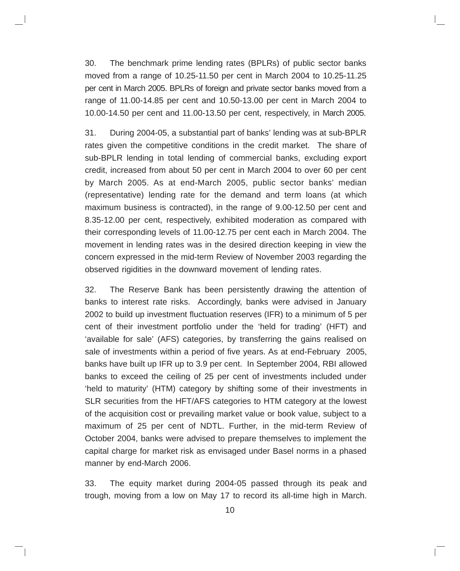30. The benchmark prime lending rates (BPLRs) of public sector banks moved from a range of 10.25-11.50 per cent in March 2004 to 10.25-11.25 per cent in March 2005. BPLRs of foreign and private sector banks moved from a range of 11.00-14.85 per cent and 10.50-13.00 per cent in March 2004 to 10.00-14.50 per cent and 11.00-13.50 per cent, respectively, in March 2005.

31. During 2004-05, a substantial part of banks' lending was at sub-BPLR rates given the competitive conditions in the credit market. The share of sub-BPLR lending in total lending of commercial banks, excluding export credit, increased from about 50 per cent in March 2004 to over 60 per cent by March 2005. As at end-March 2005, public sector banks' median (representative) lending rate for the demand and term loans (at which maximum business is contracted), in the range of 9.00-12.50 per cent and 8.35-12.00 per cent, respectively, exhibited moderation as compared with their corresponding levels of 11.00-12.75 per cent each in March 2004. The movement in lending rates was in the desired direction keeping in view the concern expressed in the mid-term Review of November 2003 regarding the observed rigidities in the downward movement of lending rates.

32. The Reserve Bank has been persistently drawing the attention of banks to interest rate risks. Accordingly, banks were advised in January 2002 to build up investment fluctuation reserves (IFR) to a minimum of 5 per cent of their investment portfolio under the 'held for trading' (HFT) and 'available for sale' (AFS) categories, by transferring the gains realised on sale of investments within a period of five years. As at end-February 2005, banks have built up IFR up to 3.9 per cent. In September 2004, RBI allowed banks to exceed the ceiling of 25 per cent of investments included under 'held to maturity' (HTM) category by shifting some of their investments in SLR securities from the HFT/AFS categories to HTM category at the lowest of the acquisition cost or prevailing market value or book value, subject to a maximum of 25 per cent of NDTL. Further, in the mid-term Review of October 2004, banks were advised to prepare themselves to implement the capital charge for market risk as envisaged under Basel norms in a phased manner by end-March 2006.

33. The equity market during 2004-05 passed through its peak and trough, moving from a low on May 17 to record its all-time high in March.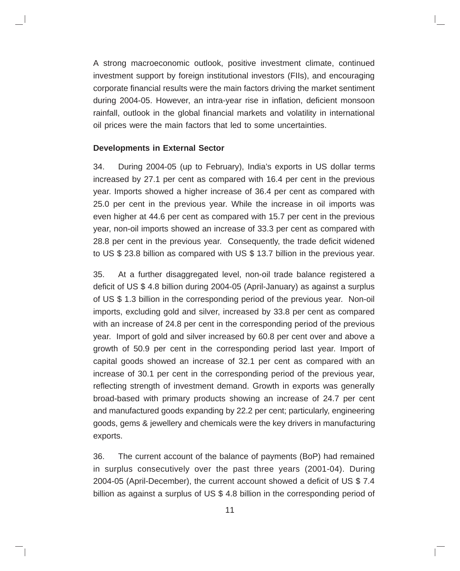A strong macroeconomic outlook, positive investment climate, continued investment support by foreign institutional investors (FIIs), and encouraging corporate financial results were the main factors driving the market sentiment during 2004-05. However, an intra-year rise in inflation, deficient monsoon rainfall, outlook in the global financial markets and volatility in international oil prices were the main factors that led to some uncertainties.

#### **Developments in External Sector**

34. During 2004-05 (up to February), India's exports in US dollar terms increased by 27.1 per cent as compared with 16.4 per cent in the previous year. Imports showed a higher increase of 36.4 per cent as compared with 25.0 per cent in the previous year. While the increase in oil imports was even higher at 44.6 per cent as compared with 15.7 per cent in the previous year, non-oil imports showed an increase of 33.3 per cent as compared with 28.8 per cent in the previous year. Consequently, the trade deficit widened to US \$ 23.8 billion as compared with US \$ 13.7 billion in the previous year.

35. At a further disaggregated level, non-oil trade balance registered a deficit of US \$ 4.8 billion during 2004-05 (April-January) as against a surplus of US \$ 1.3 billion in the corresponding period of the previous year. Non-oil imports, excluding gold and silver, increased by 33.8 per cent as compared with an increase of 24.8 per cent in the corresponding period of the previous year. Import of gold and silver increased by 60.8 per cent over and above a growth of 50.9 per cent in the corresponding period last year. Import of capital goods showed an increase of 32.1 per cent as compared with an increase of 30.1 per cent in the corresponding period of the previous year, reflecting strength of investment demand. Growth in exports was generally broad-based with primary products showing an increase of 24.7 per cent and manufactured goods expanding by 22.2 per cent; particularly, engineering goods, gems & jewellery and chemicals were the key drivers in manufacturing exports.

36. The current account of the balance of payments (BoP) had remained in surplus consecutively over the past three years (2001-04). During 2004-05 (April-December), the current account showed a deficit of US \$ 7.4 billion as against a surplus of US \$ 4.8 billion in the corresponding period of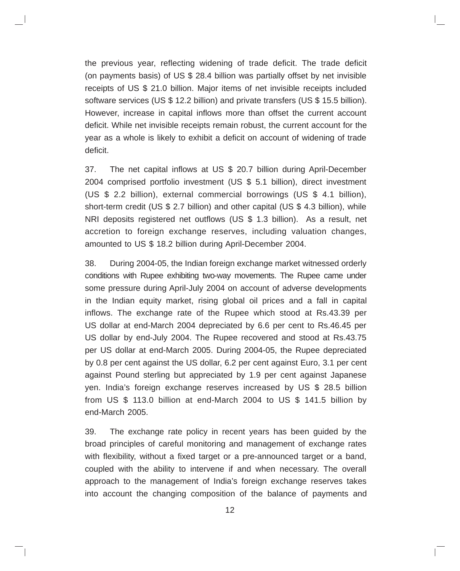the previous year, reflecting widening of trade deficit. The trade deficit (on payments basis) of US \$ 28.4 billion was partially offset by net invisible receipts of US \$ 21.0 billion. Major items of net invisible receipts included software services (US \$ 12.2 billion) and private transfers (US \$ 15.5 billion). However, increase in capital inflows more than offset the current account deficit. While net invisible receipts remain robust, the current account for the year as a whole is likely to exhibit a deficit on account of widening of trade deficit.

37. The net capital inflows at US \$ 20.7 billion during April-December 2004 comprised portfolio investment (US \$ 5.1 billion), direct investment (US \$ 2.2 billion), external commercial borrowings (US \$ 4.1 billion), short-term credit (US \$ 2.7 billion) and other capital (US \$ 4.3 billion), while NRI deposits registered net outflows (US \$ 1.3 billion). As a result, net accretion to foreign exchange reserves, including valuation changes, amounted to US \$ 18.2 billion during April-December 2004.

38. During 2004-05, the Indian foreign exchange market witnessed orderly conditions with Rupee exhibiting two-way movements. The Rupee came under some pressure during April-July 2004 on account of adverse developments in the Indian equity market, rising global oil prices and a fall in capital inflows. The exchange rate of the Rupee which stood at Rs.43.39 per US dollar at end-March 2004 depreciated by 6.6 per cent to Rs.46.45 per US dollar by end-July 2004. The Rupee recovered and stood at Rs.43.75 per US dollar at end-March 2005. During 2004-05, the Rupee depreciated by 0.8 per cent against the US dollar, 6.2 per cent against Euro, 3.1 per cent against Pound sterling but appreciated by 1.9 per cent against Japanese yen. India's foreign exchange reserves increased by US \$ 28.5 billion from US \$ 113.0 billion at end-March 2004 to US \$ 141.5 billion by end-March 2005.

39. The exchange rate policy in recent years has been guided by the broad principles of careful monitoring and management of exchange rates with flexibility, without a fixed target or a pre-announced target or a band, coupled with the ability to intervene if and when necessary. The overall approach to the management of India's foreign exchange reserves takes into account the changing composition of the balance of payments and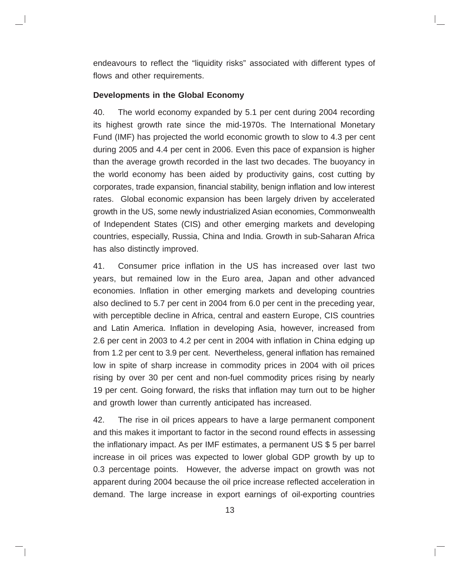endeavours to reflect the "liquidity risks" associated with different types of flows and other requirements.

#### **Developments in the Global Economy**

40. The world economy expanded by 5.1 per cent during 2004 recording its highest growth rate since the mid-1970s. The International Monetary Fund (IMF) has projected the world economic growth to slow to 4.3 per cent during 2005 and 4.4 per cent in 2006. Even this pace of expansion is higher than the average growth recorded in the last two decades. The buoyancy in the world economy has been aided by productivity gains, cost cutting by corporates, trade expansion, financial stability, benign inflation and low interest rates. Global economic expansion has been largely driven by accelerated growth in the US, some newly industrialized Asian economies, Commonwealth of Independent States (CIS) and other emerging markets and developing countries, especially, Russia, China and India. Growth in sub-Saharan Africa has also distinctly improved.

41. Consumer price inflation in the US has increased over last two years, but remained low in the Euro area, Japan and other advanced economies. Inflation in other emerging markets and developing countries also declined to 5.7 per cent in 2004 from 6.0 per cent in the preceding year, with perceptible decline in Africa, central and eastern Europe, CIS countries and Latin America. Inflation in developing Asia, however, increased from 2.6 per cent in 2003 to 4.2 per cent in 2004 with inflation in China edging up from 1.2 per cent to 3.9 per cent. Nevertheless, general inflation has remained low in spite of sharp increase in commodity prices in 2004 with oil prices rising by over 30 per cent and non-fuel commodity prices rising by nearly 19 per cent. Going forward, the risks that inflation may turn out to be higher and growth lower than currently anticipated has increased.

42. The rise in oil prices appears to have a large permanent component and this makes it important to factor in the second round effects in assessing the inflationary impact. As per IMF estimates, a permanent US \$ 5 per barrel increase in oil prices was expected to lower global GDP growth by up to 0.3 percentage points. However, the adverse impact on growth was not apparent during 2004 because the oil price increase reflected acceleration in demand. The large increase in export earnings of oil-exporting countries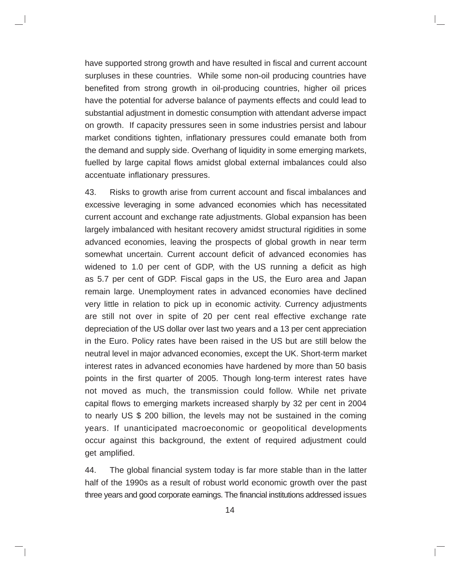have supported strong growth and have resulted in fiscal and current account surpluses in these countries. While some non-oil producing countries have benefited from strong growth in oil-producing countries, higher oil prices have the potential for adverse balance of payments effects and could lead to substantial adjustment in domestic consumption with attendant adverse impact on growth. If capacity pressures seen in some industries persist and labour market conditions tighten, inflationary pressures could emanate both from the demand and supply side. Overhang of liquidity in some emerging markets, fuelled by large capital flows amidst global external imbalances could also accentuate inflationary pressures.

43. Risks to growth arise from current account and fiscal imbalances and excessive leveraging in some advanced economies which has necessitated current account and exchange rate adjustments. Global expansion has been largely imbalanced with hesitant recovery amidst structural rigidities in some advanced economies, leaving the prospects of global growth in near term somewhat uncertain. Current account deficit of advanced economies has widened to 1.0 per cent of GDP, with the US running a deficit as high as 5.7 per cent of GDP. Fiscal gaps in the US, the Euro area and Japan remain large. Unemployment rates in advanced economies have declined very little in relation to pick up in economic activity. Currency adjustments are still not over in spite of 20 per cent real effective exchange rate depreciation of the US dollar over last two years and a 13 per cent appreciation in the Euro. Policy rates have been raised in the US but are still below the neutral level in major advanced economies, except the UK. Short-term market interest rates in advanced economies have hardened by more than 50 basis points in the first quarter of 2005. Though long-term interest rates have not moved as much, the transmission could follow. While net private capital flows to emerging markets increased sharply by 32 per cent in 2004 to nearly US \$ 200 billion, the levels may not be sustained in the coming years. If unanticipated macroeconomic or geopolitical developments occur against this background, the extent of required adjustment could get amplified.

44. The global financial system today is far more stable than in the latter half of the 1990s as a result of robust world economic growth over the past three years and good corporate earnings. The financial institutions addressed issues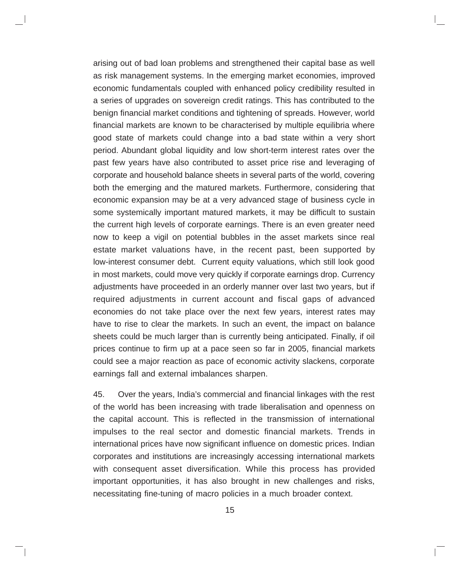arising out of bad loan problems and strengthened their capital base as well as risk management systems. In the emerging market economies, improved economic fundamentals coupled with enhanced policy credibility resulted in a series of upgrades on sovereign credit ratings. This has contributed to the benign financial market conditions and tightening of spreads. However, world financial markets are known to be characterised by multiple equilibria where good state of markets could change into a bad state within a very short period. Abundant global liquidity and low short-term interest rates over the past few years have also contributed to asset price rise and leveraging of corporate and household balance sheets in several parts of the world, covering both the emerging and the matured markets. Furthermore, considering that economic expansion may be at a very advanced stage of business cycle in some systemically important matured markets, it may be difficult to sustain the current high levels of corporate earnings. There is an even greater need now to keep a vigil on potential bubbles in the asset markets since real estate market valuations have, in the recent past, been supported by low-interest consumer debt. Current equity valuations, which still look good in most markets, could move very quickly if corporate earnings drop. Currency adjustments have proceeded in an orderly manner over last two years, but if required adjustments in current account and fiscal gaps of advanced economies do not take place over the next few years, interest rates may have to rise to clear the markets. In such an event, the impact on balance sheets could be much larger than is currently being anticipated. Finally, if oil prices continue to firm up at a pace seen so far in 2005, financial markets could see a major reaction as pace of economic activity slackens, corporate earnings fall and external imbalances sharpen.

45. Over the years, India's commercial and financial linkages with the rest of the world has been increasing with trade liberalisation and openness on the capital account. This is reflected in the transmission of international impulses to the real sector and domestic financial markets. Trends in international prices have now significant influence on domestic prices. Indian corporates and institutions are increasingly accessing international markets with consequent asset diversification. While this process has provided important opportunities, it has also brought in new challenges and risks, necessitating fine-tuning of macro policies in a much broader context.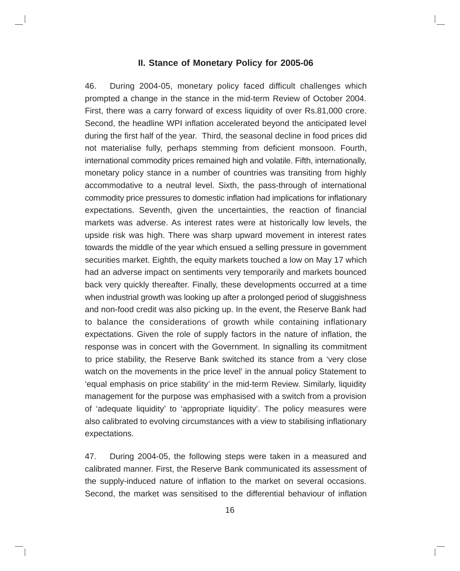#### **II. Stance of Monetary Policy for 2005-06**

46. During 2004-05, monetary policy faced difficult challenges which prompted a change in the stance in the mid-term Review of October 2004. First, there was a carry forward of excess liquidity of over Rs.81,000 crore. Second, the headline WPI inflation accelerated beyond the anticipated level during the first half of the year. Third, the seasonal decline in food prices did not materialise fully, perhaps stemming from deficient monsoon. Fourth, international commodity prices remained high and volatile. Fifth, internationally, monetary policy stance in a number of countries was transiting from highly accommodative to a neutral level. Sixth, the pass-through of international commodity price pressures to domestic inflation had implications for inflationary expectations. Seventh, given the uncertainties, the reaction of financial markets was adverse. As interest rates were at historically low levels, the upside risk was high. There was sharp upward movement in interest rates towards the middle of the year which ensued a selling pressure in government securities market. Eighth, the equity markets touched a low on May 17 which had an adverse impact on sentiments very temporarily and markets bounced back very quickly thereafter. Finally, these developments occurred at a time when industrial growth was looking up after a prolonged period of sluggishness and non-food credit was also picking up. In the event, the Reserve Bank had to balance the considerations of growth while containing inflationary expectations. Given the role of supply factors in the nature of inflation, the response was in concert with the Government. In signalling its commitment to price stability, the Reserve Bank switched its stance from a 'very close watch on the movements in the price level' in the annual policy Statement to 'equal emphasis on price stability' in the mid-term Review. Similarly, liquidity management for the purpose was emphasised with a switch from a provision of 'adequate liquidity' to 'appropriate liquidity'. The policy measures were also calibrated to evolving circumstances with a view to stabilising inflationary expectations.

47. During 2004-05, the following steps were taken in a measured and calibrated manner. First, the Reserve Bank communicated its assessment of the supply-induced nature of inflation to the market on several occasions. Second, the market was sensitised to the differential behaviour of inflation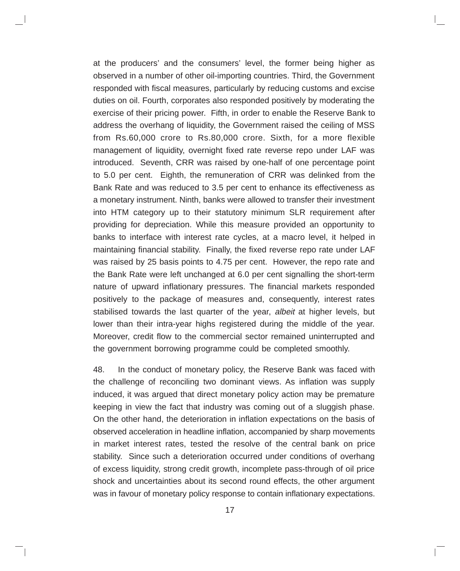at the producers' and the consumers' level, the former being higher as observed in a number of other oil-importing countries. Third, the Government responded with fiscal measures, particularly by reducing customs and excise duties on oil. Fourth, corporates also responded positively by moderating the exercise of their pricing power. Fifth, in order to enable the Reserve Bank to address the overhang of liquidity, the Government raised the ceiling of MSS from Rs.60,000 crore to Rs.80,000 crore. Sixth, for a more flexible management of liquidity, overnight fixed rate reverse repo under LAF was introduced. Seventh, CRR was raised by one-half of one percentage point to 5.0 per cent. Eighth, the remuneration of CRR was delinked from the Bank Rate and was reduced to 3.5 per cent to enhance its effectiveness as a monetary instrument. Ninth, banks were allowed to transfer their investment into HTM category up to their statutory minimum SLR requirement after providing for depreciation. While this measure provided an opportunity to banks to interface with interest rate cycles, at a macro level, it helped in maintaining financial stability. Finally, the fixed reverse repo rate under LAF was raised by 25 basis points to 4.75 per cent. However, the repo rate and the Bank Rate were left unchanged at 6.0 per cent signalling the short-term nature of upward inflationary pressures. The financial markets responded positively to the package of measures and, consequently, interest rates stabilised towards the last quarter of the year, albeit at higher levels, but lower than their intra-year highs registered during the middle of the year. Moreover, credit flow to the commercial sector remained uninterrupted and the government borrowing programme could be completed smoothly.

48. In the conduct of monetary policy, the Reserve Bank was faced with the challenge of reconciling two dominant views. As inflation was supply induced, it was argued that direct monetary policy action may be premature keeping in view the fact that industry was coming out of a sluggish phase. On the other hand, the deterioration in inflation expectations on the basis of observed acceleration in headline inflation, accompanied by sharp movements in market interest rates, tested the resolve of the central bank on price stability. Since such a deterioration occurred under conditions of overhang of excess liquidity, strong credit growth, incomplete pass-through of oil price shock and uncertainties about its second round effects, the other argument was in favour of monetary policy response to contain inflationary expectations.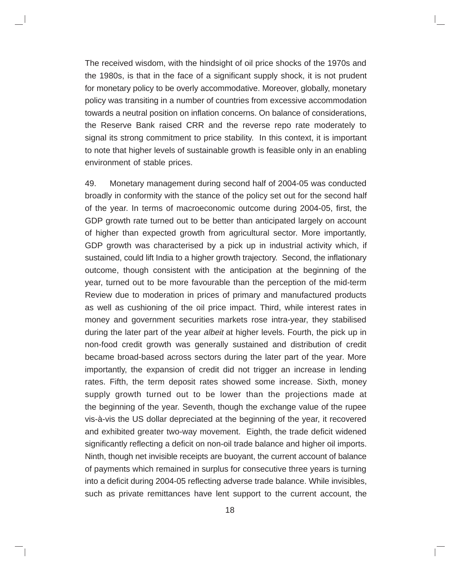The received wisdom, with the hindsight of oil price shocks of the 1970s and the 1980s, is that in the face of a significant supply shock, it is not prudent for monetary policy to be overly accommodative. Moreover, globally, monetary policy was transiting in a number of countries from excessive accommodation towards a neutral position on inflation concerns. On balance of considerations, the Reserve Bank raised CRR and the reverse repo rate moderately to signal its strong commitment to price stability. In this context, it is important to note that higher levels of sustainable growth is feasible only in an enabling environment of stable prices.

49. Monetary management during second half of 2004-05 was conducted broadly in conformity with the stance of the policy set out for the second half of the year. In terms of macroeconomic outcome during 2004-05, first, the GDP growth rate turned out to be better than anticipated largely on account of higher than expected growth from agricultural sector. More importantly, GDP growth was characterised by a pick up in industrial activity which, if sustained, could lift India to a higher growth trajectory. Second, the inflationary outcome, though consistent with the anticipation at the beginning of the year, turned out to be more favourable than the perception of the mid-term Review due to moderation in prices of primary and manufactured products as well as cushioning of the oil price impact. Third, while interest rates in money and government securities markets rose intra-year, they stabilised during the later part of the year albeit at higher levels. Fourth, the pick up in non-food credit growth was generally sustained and distribution of credit became broad-based across sectors during the later part of the year. More importantly, the expansion of credit did not trigger an increase in lending rates. Fifth, the term deposit rates showed some increase. Sixth, money supply growth turned out to be lower than the projections made at the beginning of the year. Seventh, though the exchange value of the rupee vis-à-vis the US dollar depreciated at the beginning of the year, it recovered and exhibited greater two-way movement. Eighth, the trade deficit widened significantly reflecting a deficit on non-oil trade balance and higher oil imports. Ninth, though net invisible receipts are buoyant, the current account of balance of payments which remained in surplus for consecutive three years is turning into a deficit during 2004-05 reflecting adverse trade balance. While invisibles, such as private remittances have lent support to the current account, the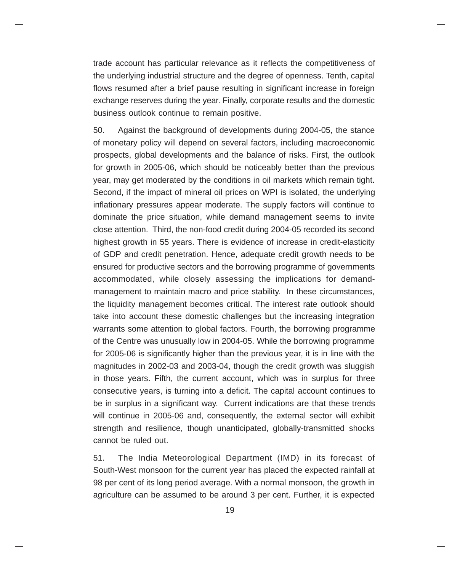trade account has particular relevance as it reflects the competitiveness of the underlying industrial structure and the degree of openness. Tenth, capital flows resumed after a brief pause resulting in significant increase in foreign exchange reserves during the year. Finally, corporate results and the domestic business outlook continue to remain positive.

50. Against the background of developments during 2004-05, the stance of monetary policy will depend on several factors, including macroeconomic prospects, global developments and the balance of risks. First, the outlook for growth in 2005-06, which should be noticeably better than the previous year, may get moderated by the conditions in oil markets which remain tight. Second, if the impact of mineral oil prices on WPI is isolated, the underlying inflationary pressures appear moderate. The supply factors will continue to dominate the price situation, while demand management seems to invite close attention. Third, the non-food credit during 2004-05 recorded its second highest growth in 55 years. There is evidence of increase in credit-elasticity of GDP and credit penetration. Hence, adequate credit growth needs to be ensured for productive sectors and the borrowing programme of governments accommodated, while closely assessing the implications for demandmanagement to maintain macro and price stability. In these circumstances, the liquidity management becomes critical. The interest rate outlook should take into account these domestic challenges but the increasing integration warrants some attention to global factors. Fourth, the borrowing programme of the Centre was unusually low in 2004-05. While the borrowing programme for 2005-06 is significantly higher than the previous year, it is in line with the magnitudes in 2002-03 and 2003-04, though the credit growth was sluggish in those years. Fifth, the current account, which was in surplus for three consecutive years, is turning into a deficit. The capital account continues to be in surplus in a significant way. Current indications are that these trends will continue in 2005-06 and, consequently, the external sector will exhibit strength and resilience, though unanticipated, globally-transmitted shocks cannot be ruled out.

51. The India Meteorological Department (IMD) in its forecast of South-West monsoon for the current year has placed the expected rainfall at 98 per cent of its long period average. With a normal monsoon, the growth in agriculture can be assumed to be around 3 per cent. Further, it is expected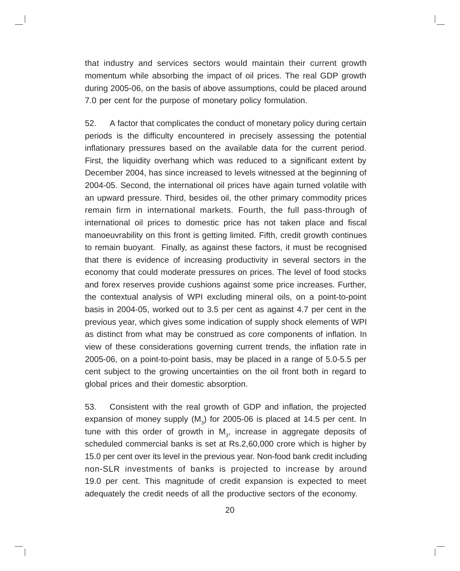that industry and services sectors would maintain their current growth momentum while absorbing the impact of oil prices. The real GDP growth during 2005-06, on the basis of above assumptions, could be placed around 7.0 per cent for the purpose of monetary policy formulation.

52. A factor that complicates the conduct of monetary policy during certain periods is the difficulty encountered in precisely assessing the potential inflationary pressures based on the available data for the current period. First, the liquidity overhang which was reduced to a significant extent by December 2004, has since increased to levels witnessed at the beginning of 2004-05. Second, the international oil prices have again turned volatile with an upward pressure. Third, besides oil, the other primary commodity prices remain firm in international markets. Fourth, the full pass-through of international oil prices to domestic price has not taken place and fiscal manoeuvrability on this front is getting limited. Fifth, credit growth continues to remain buoyant. Finally, as against these factors, it must be recognised that there is evidence of increasing productivity in several sectors in the economy that could moderate pressures on prices. The level of food stocks and forex reserves provide cushions against some price increases. Further, the contextual analysis of WPI excluding mineral oils, on a point-to-point basis in 2004-05, worked out to 3.5 per cent as against 4.7 per cent in the previous year, which gives some indication of supply shock elements of WPI as distinct from what may be construed as core components of inflation. In view of these considerations governing current trends, the inflation rate in 2005-06, on a point-to-point basis, may be placed in a range of 5.0-5.5 per cent subject to the growing uncertainties on the oil front both in regard to global prices and their domestic absorption.

53. Consistent with the real growth of GDP and inflation, the projected expansion of money supply (M<sub>3</sub>) for 2005-06 is placed at 14.5 per cent. In tune with this order of growth in  $\mathsf{M}_{_3}$ , increase in aggregate deposits of scheduled commercial banks is set at Rs.2,60,000 crore which is higher by 15.0 per cent over its level in the previous year. Non-food bank credit including non-SLR investments of banks is projected to increase by around 19.0 per cent. This magnitude of credit expansion is expected to meet adequately the credit needs of all the productive sectors of the economy.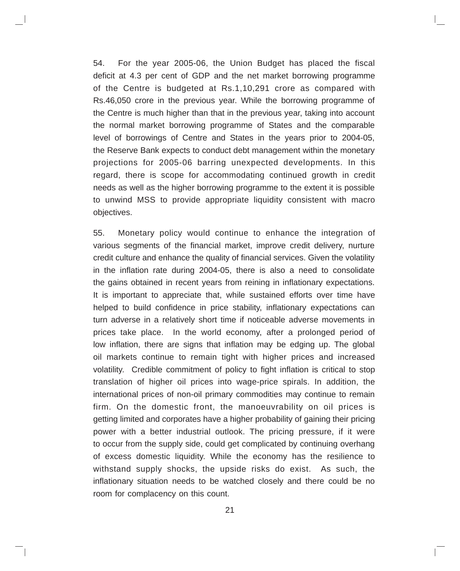54. For the year 2005-06, the Union Budget has placed the fiscal deficit at 4.3 per cent of GDP and the net market borrowing programme of the Centre is budgeted at Rs.1,10,291 crore as compared with Rs.46,050 crore in the previous year. While the borrowing programme of the Centre is much higher than that in the previous year, taking into account the normal market borrowing programme of States and the comparable level of borrowings of Centre and States in the years prior to 2004-05, the Reserve Bank expects to conduct debt management within the monetary projections for 2005-06 barring unexpected developments. In this regard, there is scope for accommodating continued growth in credit needs as well as the higher borrowing programme to the extent it is possible to unwind MSS to provide appropriate liquidity consistent with macro objectives.

55. Monetary policy would continue to enhance the integration of various segments of the financial market, improve credit delivery, nurture credit culture and enhance the quality of financial services. Given the volatility in the inflation rate during 2004-05, there is also a need to consolidate the gains obtained in recent years from reining in inflationary expectations. It is important to appreciate that, while sustained efforts over time have helped to build confidence in price stability, inflationary expectations can turn adverse in a relatively short time if noticeable adverse movements in prices take place. In the world economy, after a prolonged period of low inflation, there are signs that inflation may be edging up. The global oil markets continue to remain tight with higher prices and increased volatility. Credible commitment of policy to fight inflation is critical to stop translation of higher oil prices into wage-price spirals. In addition, the international prices of non-oil primary commodities may continue to remain firm. On the domestic front, the manoeuvrability on oil prices is getting limited and corporates have a higher probability of gaining their pricing power with a better industrial outlook. The pricing pressure, if it were to occur from the supply side, could get complicated by continuing overhang of excess domestic liquidity. While the economy has the resilience to withstand supply shocks, the upside risks do exist. As such, the inflationary situation needs to be watched closely and there could be no room for complacency on this count.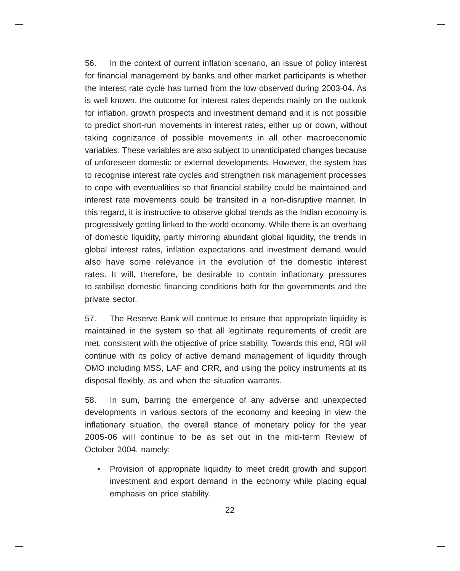56. In the context of current inflation scenario, an issue of policy interest for financial management by banks and other market participants is whether the interest rate cycle has turned from the low observed during 2003-04. As is well known, the outcome for interest rates depends mainly on the outlook for inflation, growth prospects and investment demand and it is not possible to predict short-run movements in interest rates, either up or down, without taking cognizance of possible movements in all other macroeconomic variables. These variables are also subject to unanticipated changes because of unforeseen domestic or external developments. However, the system has to recognise interest rate cycles and strengthen risk management processes to cope with eventualities so that financial stability could be maintained and interest rate movements could be transited in a non-disruptive manner. In this regard, it is instructive to observe global trends as the Indian economy is progressively getting linked to the world economy. While there is an overhang of domestic liquidity, partly mirroring abundant global liquidity, the trends in global interest rates, inflation expectations and investment demand would also have some relevance in the evolution of the domestic interest rates. It will, therefore, be desirable to contain inflationary pressures to stabilise domestic financing conditions both for the governments and the private sector.

57. The Reserve Bank will continue to ensure that appropriate liquidity is maintained in the system so that all legitimate requirements of credit are met, consistent with the objective of price stability. Towards this end, RBI will continue with its policy of active demand management of liquidity through OMO including MSS, LAF and CRR, and using the policy instruments at its disposal flexibly, as and when the situation warrants.

58. In sum, barring the emergence of any adverse and unexpected developments in various sectors of the economy and keeping in view the inflationary situation, the overall stance of monetary policy for the year 2005-06 will continue to be as set out in the mid-term Review of October 2004, namely:

• Provision of appropriate liquidity to meet credit growth and support investment and export demand in the economy while placing equal emphasis on price stability.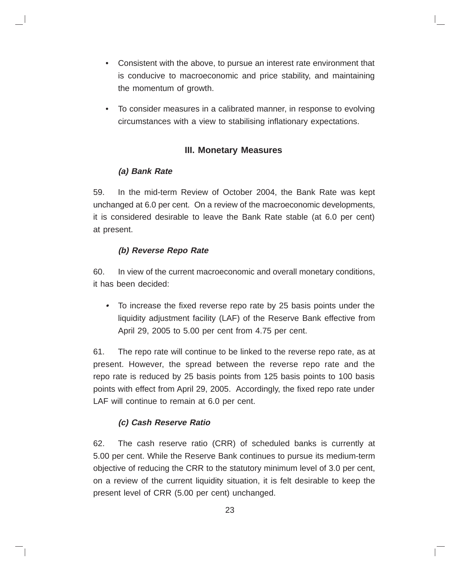- Consistent with the above, to pursue an interest rate environment that is conducive to macroeconomic and price stability, and maintaining the momentum of growth.
- To consider measures in a calibrated manner, in response to evolving circumstances with a view to stabilising inflationary expectations.

### **III. Monetary Measures**

### **(a) Bank Rate**

59. In the mid-term Review of October 2004, the Bank Rate was kept unchanged at 6.0 per cent. On a review of the macroeconomic developments, it is considered desirable to leave the Bank Rate stable (at 6.0 per cent) at present.

### **(b) Reverse Repo Rate**

60. In view of the current macroeconomic and overall monetary conditions, it has been decided:

**•** To increase the fixed reverse repo rate by 25 basis points under the liquidity adjustment facility (LAF) of the Reserve Bank effective from April 29, 2005 to 5.00 per cent from 4.75 per cent.

61. The repo rate will continue to be linked to the reverse repo rate, as at present. However, the spread between the reverse repo rate and the repo rate is reduced by 25 basis points from 125 basis points to 100 basis points with effect from April 29, 2005. Accordingly, the fixed repo rate under LAF will continue to remain at 6.0 per cent.

## **(c) Cash Reserve Ratio**

62. The cash reserve ratio (CRR) of scheduled banks is currently at 5.00 per cent. While the Reserve Bank continues to pursue its medium-term objective of reducing the CRR to the statutory minimum level of 3.0 per cent, on a review of the current liquidity situation, it is felt desirable to keep the present level of CRR (5.00 per cent) unchanged.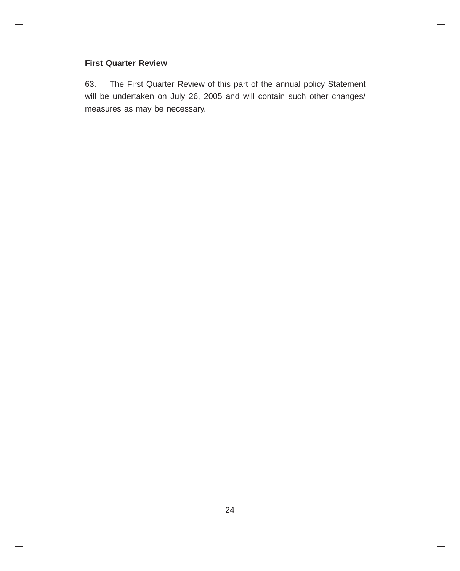#### **First Quarter Review**

63. The First Quarter Review of this part of the annual policy Statement will be undertaken on July 26, 2005 and will contain such other changes/ measures as may be necessary.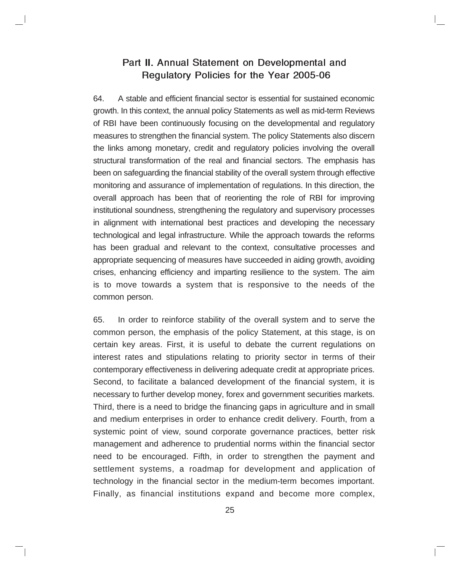## Part II. Annual Statement on Developmental and Regulatory Policies for the Year 2005-06

64. A stable and efficient financial sector is essential for sustained economic growth. In this context, the annual policy Statements as well as mid-term Reviews of RBI have been continuously focusing on the developmental and regulatory measures to strengthen the financial system. The policy Statements also discern the links among monetary, credit and regulatory policies involving the overall structural transformation of the real and financial sectors. The emphasis has been on safeguarding the financial stability of the overall system through effective monitoring and assurance of implementation of regulations. In this direction, the overall approach has been that of reorienting the role of RBI for improving institutional soundness, strengthening the regulatory and supervisory processes in alignment with international best practices and developing the necessary technological and legal infrastructure. While the approach towards the reforms has been gradual and relevant to the context, consultative processes and appropriate sequencing of measures have succeeded in aiding growth, avoiding crises, enhancing efficiency and imparting resilience to the system. The aim is to move towards a system that is responsive to the needs of the common person.

65. In order to reinforce stability of the overall system and to serve the common person, the emphasis of the policy Statement, at this stage, is on certain key areas. First, it is useful to debate the current regulations on interest rates and stipulations relating to priority sector in terms of their contemporary effectiveness in delivering adequate credit at appropriate prices. Second, to facilitate a balanced development of the financial system, it is necessary to further develop money, forex and government securities markets. Third, there is a need to bridge the financing gaps in agriculture and in small and medium enterprises in order to enhance credit delivery. Fourth, from a systemic point of view, sound corporate governance practices, better risk management and adherence to prudential norms within the financial sector need to be encouraged. Fifth, in order to strengthen the payment and settlement systems, a roadmap for development and application of technology in the financial sector in the medium-term becomes important. Finally, as financial institutions expand and become more complex,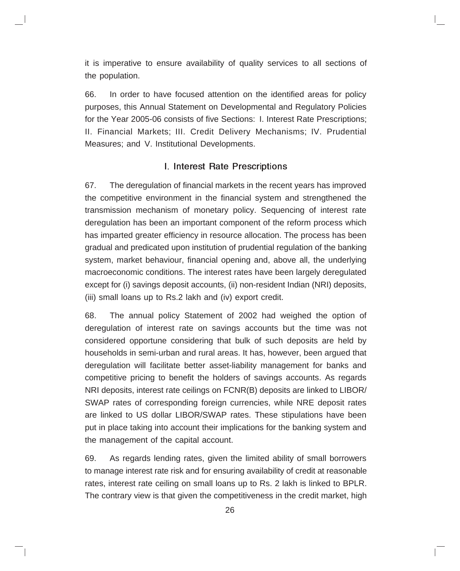it is imperative to ensure availability of quality services to all sections of the population.

66. In order to have focused attention on the identified areas for policy purposes, this Annual Statement on Developmental and Regulatory Policies for the Year 2005-06 consists of five Sections: I. Interest Rate Prescriptions; II. Financial Markets; III. Credit Delivery Mechanisms; IV. Prudential Measures; and V. Institutional Developments.

### I. Interest Rate Prescriptions

67. The deregulation of financial markets in the recent years has improved the competitive environment in the financial system and strengthened the transmission mechanism of monetary policy. Sequencing of interest rate deregulation has been an important component of the reform process which has imparted greater efficiency in resource allocation. The process has been gradual and predicated upon institution of prudential regulation of the banking system, market behaviour, financial opening and, above all, the underlying macroeconomic conditions. The interest rates have been largely deregulated except for (i) savings deposit accounts, (ii) non-resident Indian (NRI) deposits, (iii) small loans up to Rs.2 lakh and (iv) export credit.

68. The annual policy Statement of 2002 had weighed the option of deregulation of interest rate on savings accounts but the time was not considered opportune considering that bulk of such deposits are held by households in semi-urban and rural areas. It has, however, been argued that deregulation will facilitate better asset-liability management for banks and competitive pricing to benefit the holders of savings accounts. As regards NRI deposits, interest rate ceilings on FCNR(B) deposits are linked to LIBOR/ SWAP rates of corresponding foreign currencies, while NRE deposit rates are linked to US dollar LIBOR/SWAP rates. These stipulations have been put in place taking into account their implications for the banking system and the management of the capital account.

69. As regards lending rates, given the limited ability of small borrowers to manage interest rate risk and for ensuring availability of credit at reasonable rates, interest rate ceiling on small loans up to Rs. 2 lakh is linked to BPLR. The contrary view is that given the competitiveness in the credit market, high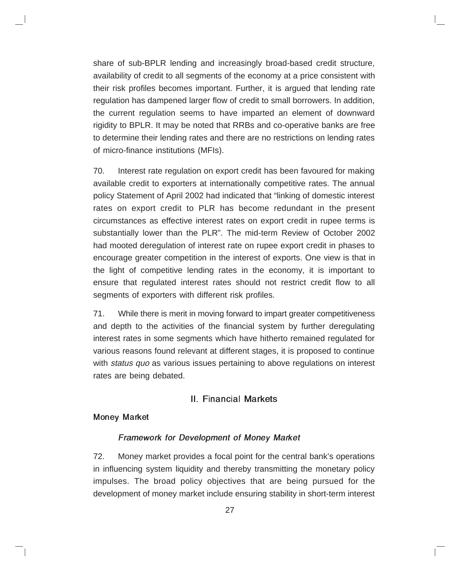share of sub-BPLR lending and increasingly broad-based credit structure, availability of credit to all segments of the economy at a price consistent with their risk profiles becomes important. Further, it is argued that lending rate regulation has dampened larger flow of credit to small borrowers. In addition, the current regulation seems to have imparted an element of downward rigidity to BPLR. It may be noted that RRBs and co-operative banks are free to determine their lending rates and there are no restrictions on lending rates of micro-finance institutions (MFIs).

70. Interest rate regulation on export credit has been favoured for making available credit to exporters at internationally competitive rates. The annual policy Statement of April 2002 had indicated that "linking of domestic interest rates on export credit to PLR has become redundant in the present circumstances as effective interest rates on export credit in rupee terms is substantially lower than the PLR". The mid-term Review of October 2002 had mooted deregulation of interest rate on rupee export credit in phases to encourage greater competition in the interest of exports. One view is that in the light of competitive lending rates in the economy, it is important to ensure that regulated interest rates should not restrict credit flow to all segments of exporters with different risk profiles.

71. While there is merit in moving forward to impart greater competitiveness and depth to the activities of the financial system by further deregulating interest rates in some segments which have hitherto remained regulated for various reasons found relevant at different stages, it is proposed to continue with *status quo* as various issues pertaining to above regulations on interest rates are being debated.

#### II. Financial Markets

#### Money Market

#### Framework for Development of Money Market

72. Money market provides a focal point for the central bank's operations in influencing system liquidity and thereby transmitting the monetary policy impulses. The broad policy objectives that are being pursued for the development of money market include ensuring stability in short-term interest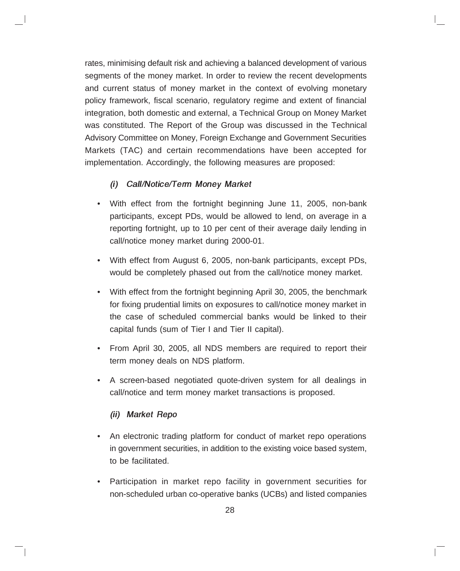rates, minimising default risk and achieving a balanced development of various segments of the money market. In order to review the recent developments and current status of money market in the context of evolving monetary policy framework, fiscal scenario, regulatory regime and extent of financial integration, both domestic and external, a Technical Group on Money Market was constituted. The Report of the Group was discussed in the Technical Advisory Committee on Money, Foreign Exchange and Government Securities Markets (TAC) and certain recommendations have been accepted for implementation. Accordingly, the following measures are proposed:

### (i) Call/Notice/Term Money Market

- With effect from the fortnight beginning June 11, 2005, non-bank participants, except PDs, would be allowed to lend, on average in a reporting fortnight, up to 10 per cent of their average daily lending in call/notice money market during 2000-01.
- With effect from August 6, 2005, non-bank participants, except PDs, would be completely phased out from the call/notice money market.
- With effect from the fortnight beginning April 30, 2005, the benchmark for fixing prudential limits on exposures to call/notice money market in the case of scheduled commercial banks would be linked to their capital funds (sum of Tier I and Tier II capital).
- From April 30, 2005, all NDS members are required to report their term money deals on NDS platform.
- A screen-based negotiated quote-driven system for all dealings in call/notice and term money market transactions is proposed.

#### (ii) Market Repo

- An electronic trading platform for conduct of market repo operations in government securities, in addition to the existing voice based system, to be facilitated.
- Participation in market repo facility in government securities for non-scheduled urban co-operative banks (UCBs) and listed companies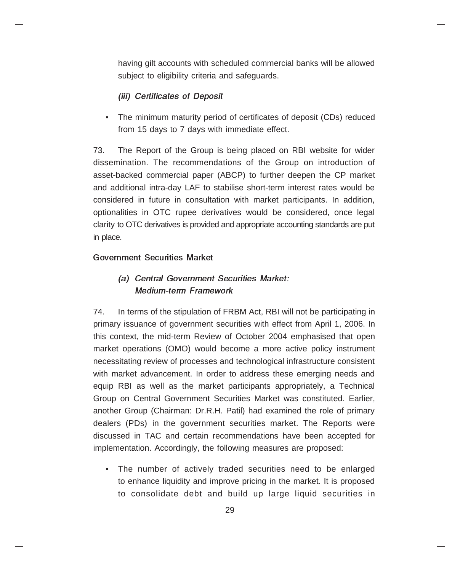having gilt accounts with scheduled commercial banks will be allowed subject to eligibility criteria and safeguards.

### (iii) Certificates of Deposit

• The minimum maturity period of certificates of deposit (CDs) reduced from 15 days to 7 days with immediate effect.

73. The Report of the Group is being placed on RBI website for wider dissemination. The recommendations of the Group on introduction of asset-backed commercial paper (ABCP) to further deepen the CP market and additional intra-day LAF to stabilise short-term interest rates would be considered in future in consultation with market participants. In addition, optionalities in OTC rupee derivatives would be considered, once legal clarity to OTC derivatives is provided and appropriate accounting standards are put in place.

#### Government Securities Market

## (a) Central Government Securities Market: Medium-term Framework

74. In terms of the stipulation of FRBM Act, RBI will not be participating in primary issuance of government securities with effect from April 1, 2006. In this context, the mid-term Review of October 2004 emphasised that open market operations (OMO) would become a more active policy instrument necessitating review of processes and technological infrastructure consistent with market advancement. In order to address these emerging needs and equip RBI as well as the market participants appropriately, a Technical Group on Central Government Securities Market was constituted. Earlier, another Group (Chairman: Dr.R.H. Patil) had examined the role of primary dealers (PDs) in the government securities market. The Reports were discussed in TAC and certain recommendations have been accepted for implementation. Accordingly, the following measures are proposed:

• The number of actively traded securities need to be enlarged to enhance liquidity and improve pricing in the market. It is proposed to consolidate debt and build up large liquid securities in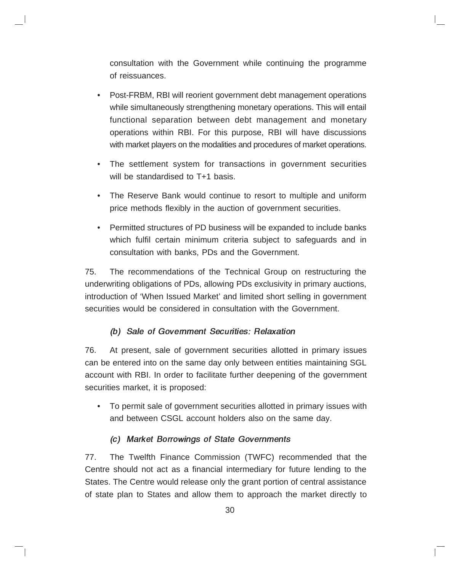consultation with the Government while continuing the programme of reissuances.

- Post-FRBM, RBI will reorient government debt management operations while simultaneously strengthening monetary operations. This will entail functional separation between debt management and monetary operations within RBI. For this purpose, RBI will have discussions with market players on the modalities and procedures of market operations.
- The settlement system for transactions in government securities will be standardised to T<sup>+1</sup> basis.
- The Reserve Bank would continue to resort to multiple and uniform price methods flexibly in the auction of government securities.
- Permitted structures of PD business will be expanded to include banks which fulfil certain minimum criteria subject to safeguards and in consultation with banks, PDs and the Government.

75. The recommendations of the Technical Group on restructuring the underwriting obligations of PDs, allowing PDs exclusivity in primary auctions, introduction of 'When Issued Market' and limited short selling in government securities would be considered in consultation with the Government.

### (b) Sale of Government Securities: Relaxation

76. At present, sale of government securities allotted in primary issues can be entered into on the same day only between entities maintaining SGL account with RBI. In order to facilitate further deepening of the government securities market, it is proposed:

• To permit sale of government securities allotted in primary issues with and between CSGL account holders also on the same day.

#### (c) Market Borrowings of State Governments

77. The Twelfth Finance Commission (TWFC) recommended that the Centre should not act as a financial intermediary for future lending to the States. The Centre would release only the grant portion of central assistance of state plan to States and allow them to approach the market directly to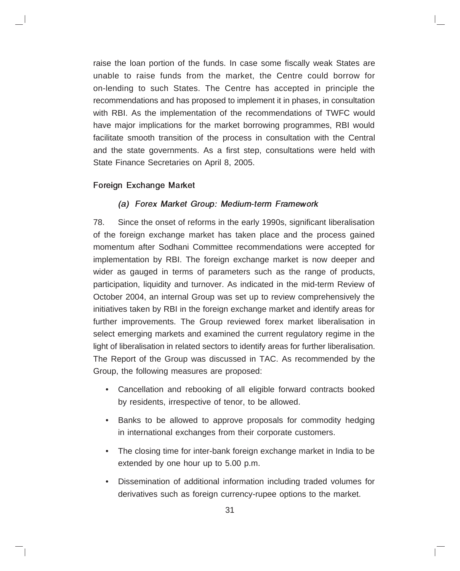raise the loan portion of the funds. In case some fiscally weak States are unable to raise funds from the market, the Centre could borrow for on-lending to such States. The Centre has accepted in principle the recommendations and has proposed to implement it in phases, in consultation with RBI. As the implementation of the recommendations of TWFC would have major implications for the market borrowing programmes, RBI would facilitate smooth transition of the process in consultation with the Central and the state governments. As a first step, consultations were held with State Finance Secretaries on April 8, 2005.

### Foreign Exchange Market

#### (a) Forex Market Group: Medium-term Framework

78. Since the onset of reforms in the early 1990s, significant liberalisation of the foreign exchange market has taken place and the process gained momentum after Sodhani Committee recommendations were accepted for implementation by RBI. The foreign exchange market is now deeper and wider as gauged in terms of parameters such as the range of products, participation, liquidity and turnover. As indicated in the mid-term Review of October 2004, an internal Group was set up to review comprehensively the initiatives taken by RBI in the foreign exchange market and identify areas for further improvements. The Group reviewed forex market liberalisation in select emerging markets and examined the current regulatory regime in the light of liberalisation in related sectors to identify areas for further liberalisation. The Report of the Group was discussed in TAC. As recommended by the Group, the following measures are proposed:

- Cancellation and rebooking of all eligible forward contracts booked by residents, irrespective of tenor, to be allowed.
- Banks to be allowed to approve proposals for commodity hedging in international exchanges from their corporate customers.
- The closing time for inter-bank foreign exchange market in India to be extended by one hour up to 5.00 p.m.
- Dissemination of additional information including traded volumes for derivatives such as foreign currency-rupee options to the market.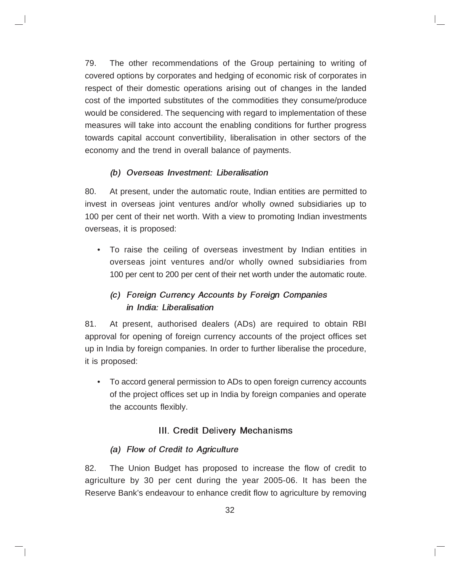79. The other recommendations of the Group pertaining to writing of covered options by corporates and hedging of economic risk of corporates in respect of their domestic operations arising out of changes in the landed cost of the imported substitutes of the commodities they consume/produce would be considered. The sequencing with regard to implementation of these measures will take into account the enabling conditions for further progress towards capital account convertibility, liberalisation in other sectors of the economy and the trend in overall balance of payments.

### (b) Overseas Investment: Liberalisation

80. At present, under the automatic route, Indian entities are permitted to invest in overseas joint ventures and/or wholly owned subsidiaries up to 100 per cent of their net worth. With a view to promoting Indian investments overseas, it is proposed:

• To raise the ceiling of overseas investment by Indian entities in overseas joint ventures and/or wholly owned subsidiaries from 100 per cent to 200 per cent of their net worth under the automatic route.

## (c) Foreign Currency Accounts by Foreign Companies in India: Liberalisation

81. At present, authorised dealers (ADs) are required to obtain RBI approval for opening of foreign currency accounts of the project offices set up in India by foreign companies. In order to further liberalise the procedure, it is proposed:

• To accord general permission to ADs to open foreign currency accounts of the project offices set up in India by foreign companies and operate the accounts flexibly.

## III. Credit Delivery Mechanisms

## (a) Flow of Credit to Agriculture

82. The Union Budget has proposed to increase the flow of credit to agriculture by 30 per cent during the year 2005-06. It has been the Reserve Bank's endeavour to enhance credit flow to agriculture by removing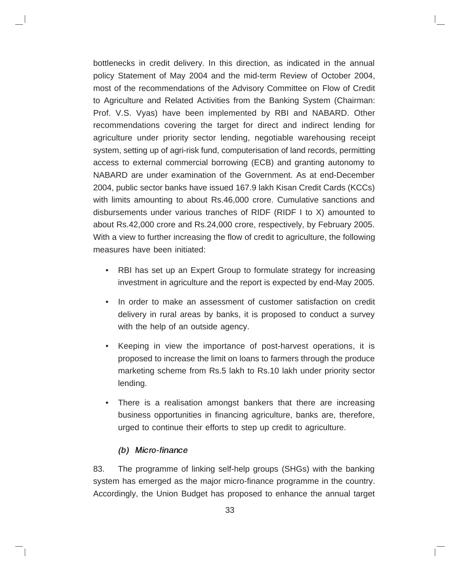bottlenecks in credit delivery. In this direction, as indicated in the annual policy Statement of May 2004 and the mid-term Review of October 2004, most of the recommendations of the Advisory Committee on Flow of Credit to Agriculture and Related Activities from the Banking System (Chairman: Prof. V.S. Vyas) have been implemented by RBI and NABARD. Other recommendations covering the target for direct and indirect lending for agriculture under priority sector lending, negotiable warehousing receipt system, setting up of agri-risk fund, computerisation of land records, permitting access to external commercial borrowing (ECB) and granting autonomy to NABARD are under examination of the Government. As at end-December 2004, public sector banks have issued 167.9 lakh Kisan Credit Cards (KCCs) with limits amounting to about Rs.46,000 crore. Cumulative sanctions and disbursements under various tranches of RIDF (RIDF I to X) amounted to about Rs.42,000 crore and Rs.24,000 crore, respectively, by February 2005. With a view to further increasing the flow of credit to agriculture, the following measures have been initiated:

- RBI has set up an Expert Group to formulate strategy for increasing investment in agriculture and the report is expected by end-May 2005.
- In order to make an assessment of customer satisfaction on credit delivery in rural areas by banks, it is proposed to conduct a survey with the help of an outside agency.
- Keeping in view the importance of post-harvest operations, it is proposed to increase the limit on loans to farmers through the produce marketing scheme from Rs.5 lakh to Rs.10 lakh under priority sector lending.
- There is a realisation amongst bankers that there are increasing business opportunities in financing agriculture, banks are, therefore, urged to continue their efforts to step up credit to agriculture.

#### (b) Micro-finance

83. The programme of linking self-help groups (SHGs) with the banking system has emerged as the major micro-finance programme in the country. Accordingly, the Union Budget has proposed to enhance the annual target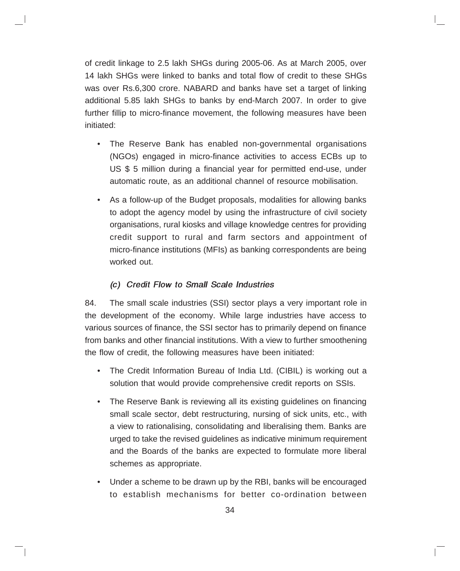of credit linkage to 2.5 lakh SHGs during 2005-06. As at March 2005, over 14 lakh SHGs were linked to banks and total flow of credit to these SHGs was over Rs.6,300 crore. NABARD and banks have set a target of linking additional 5.85 lakh SHGs to banks by end-March 2007. In order to give further fillip to micro-finance movement, the following measures have been initiated:

- The Reserve Bank has enabled non-governmental organisations (NGOs) engaged in micro-finance activities to access ECBs up to US \$ 5 million during a financial year for permitted end-use, under automatic route, as an additional channel of resource mobilisation.
- As a follow-up of the Budget proposals, modalities for allowing banks to adopt the agency model by using the infrastructure of civil society organisations, rural kiosks and village knowledge centres for providing credit support to rural and farm sectors and appointment of micro-finance institutions (MFIs) as banking correspondents are being worked out.

#### (c) Credit Flow to Small Scale Industries

84. The small scale industries (SSI) sector plays a very important role in the development of the economy. While large industries have access to various sources of finance, the SSI sector has to primarily depend on finance from banks and other financial institutions. With a view to further smoothening the flow of credit, the following measures have been initiated:

- The Credit Information Bureau of India Ltd. (CIBIL) is working out a solution that would provide comprehensive credit reports on SSIs.
- The Reserve Bank is reviewing all its existing guidelines on financing small scale sector, debt restructuring, nursing of sick units, etc., with a view to rationalising, consolidating and liberalising them. Banks are urged to take the revised guidelines as indicative minimum requirement and the Boards of the banks are expected to formulate more liberal schemes as appropriate.
- Under a scheme to be drawn up by the RBI, banks will be encouraged to establish mechanisms for better co-ordination between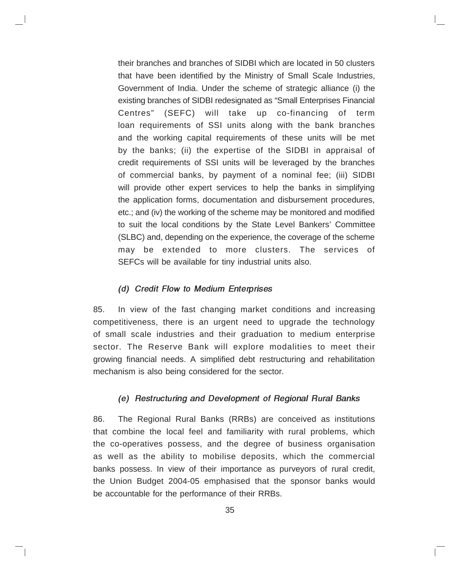their branches and branches of SIDBI which are located in 50 clusters that have been identified by the Ministry of Small Scale Industries, Government of India. Under the scheme of strategic alliance (i) the existing branches of SIDBI redesignated as "Small Enterprises Financial Centres" (SEFC) will take up co-financing of term loan requirements of SSI units along with the bank branches and the working capital requirements of these units will be met by the banks; (ii) the expertise of the SIDBI in appraisal of credit requirements of SSI units will be leveraged by the branches of commercial banks, by payment of a nominal fee; (iii) SIDBI will provide other expert services to help the banks in simplifying the application forms, documentation and disbursement procedures, etc.; and (iv) the working of the scheme may be monitored and modified to suit the local conditions by the State Level Bankers' Committee (SLBC) and, depending on the experience, the coverage of the scheme may be extended to more clusters. The services of SEFCs will be available for tiny industrial units also.

#### (d) Credit Flow to Medium Enterprises

85. In view of the fast changing market conditions and increasing competitiveness, there is an urgent need to upgrade the technology of small scale industries and their graduation to medium enterprise sector. The Reserve Bank will explore modalities to meet their growing financial needs. A simplified debt restructuring and rehabilitation mechanism is also being considered for the sector.

#### (e) Restructuring and Development of Regional Rural Banks

86. The Regional Rural Banks (RRBs) are conceived as institutions that combine the local feel and familiarity with rural problems, which the co-operatives possess, and the degree of business organisation as well as the ability to mobilise deposits, which the commercial banks possess. In view of their importance as purveyors of rural credit, the Union Budget 2004-05 emphasised that the sponsor banks would be accountable for the performance of their RRBs.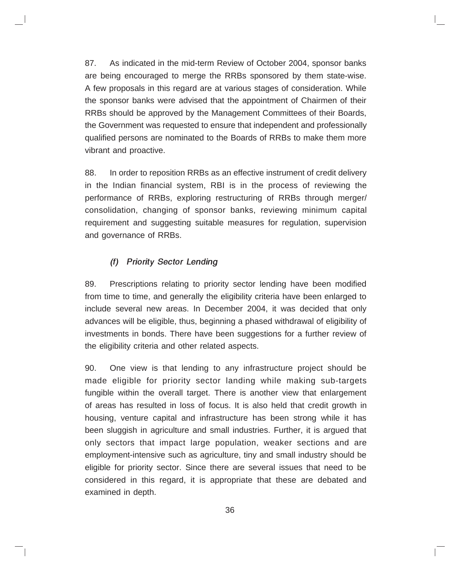87. As indicated in the mid-term Review of October 2004, sponsor banks are being encouraged to merge the RRBs sponsored by them state-wise. A few proposals in this regard are at various stages of consideration. While the sponsor banks were advised that the appointment of Chairmen of their RRBs should be approved by the Management Committees of their Boards, the Government was requested to ensure that independent and professionally qualified persons are nominated to the Boards of RRBs to make them more vibrant and proactive.

88. In order to reposition RRBs as an effective instrument of credit delivery in the Indian financial system, RBI is in the process of reviewing the performance of RRBs, exploring restructuring of RRBs through merger/ consolidation, changing of sponsor banks, reviewing minimum capital requirement and suggesting suitable measures for regulation, supervision and governance of RRBs.

#### (f) Priority Sector Lending

89. Prescriptions relating to priority sector lending have been modified from time to time, and generally the eligibility criteria have been enlarged to include several new areas. In December 2004, it was decided that only advances will be eligible, thus, beginning a phased withdrawal of eligibility of investments in bonds. There have been suggestions for a further review of the eligibility criteria and other related aspects.

90. One view is that lending to any infrastructure project should be made eligible for priority sector landing while making sub-targets fungible within the overall target. There is another view that enlargement of areas has resulted in loss of focus. It is also held that credit growth in housing, venture capital and infrastructure has been strong while it has been sluggish in agriculture and small industries. Further, it is argued that only sectors that impact large population, weaker sections and are employment-intensive such as agriculture, tiny and small industry should be eligible for priority sector. Since there are several issues that need to be considered in this regard, it is appropriate that these are debated and examined in depth.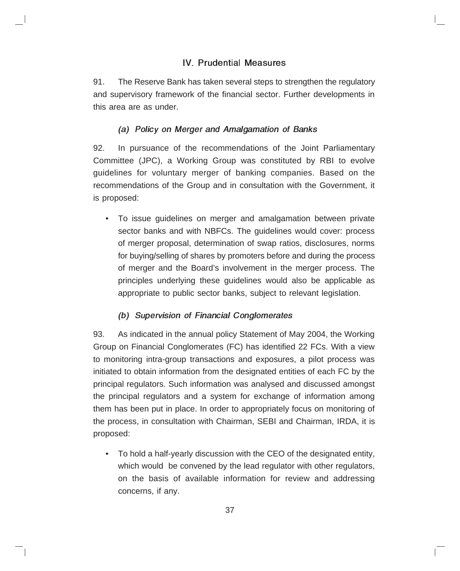### IV. Prudential Measures

91. The Reserve Bank has taken several steps to strengthen the regulatory and supervisory framework of the financial sector. Further developments in this area are as under.

### (a) Policy on Merger and Amalgamation of Banks

92. In pursuance of the recommendations of the Joint Parliamentary Committee (JPC), a Working Group was constituted by RBI to evolve guidelines for voluntary merger of banking companies. Based on the recommendations of the Group and in consultation with the Government, it is proposed:

• To issue guidelines on merger and amalgamation between private sector banks and with NBFCs. The guidelines would cover: process of merger proposal, determination of swap ratios, disclosures, norms for buying/selling of shares by promoters before and during the process of merger and the Board's involvement in the merger process. The principles underlying these guidelines would also be applicable as appropriate to public sector banks, subject to relevant legislation.

## (b) Supervision of Financial Conglomerates

93. As indicated in the annual policy Statement of May 2004, the Working Group on Financial Conglomerates (FC) has identified 22 FCs. With a view to monitoring intra-group transactions and exposures, a pilot process was initiated to obtain information from the designated entities of each FC by the principal regulators. Such information was analysed and discussed amongst the principal regulators and a system for exchange of information among them has been put in place. In order to appropriately focus on monitoring of the process, in consultation with Chairman, SEBI and Chairman, IRDA, it is proposed:

• To hold a half-yearly discussion with the CEO of the designated entity, which would be convened by the lead regulator with other regulators, on the basis of available information for review and addressing concerns, if any.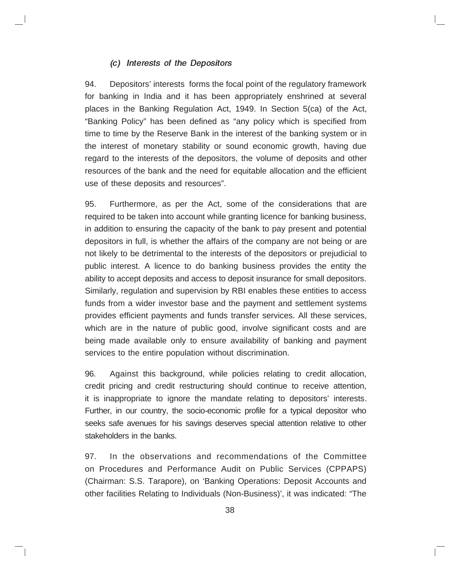#### (c) Interests of the Depositors

94. Depositors' interests forms the focal point of the regulatory framework for banking in India and it has been appropriately enshrined at several places in the Banking Regulation Act, 1949. In Section 5(ca) of the Act, "Banking Policy" has been defined as "any policy which is specified from time to time by the Reserve Bank in the interest of the banking system or in the interest of monetary stability or sound economic growth, having due regard to the interests of the depositors, the volume of deposits and other resources of the bank and the need for equitable allocation and the efficient use of these deposits and resources".

95. Furthermore, as per the Act, some of the considerations that are required to be taken into account while granting licence for banking business, in addition to ensuring the capacity of the bank to pay present and potential depositors in full, is whether the affairs of the company are not being or are not likely to be detrimental to the interests of the depositors or prejudicial to public interest. A licence to do banking business provides the entity the ability to accept deposits and access to deposit insurance for small depositors. Similarly, regulation and supervision by RBI enables these entities to access funds from a wider investor base and the payment and settlement systems provides efficient payments and funds transfer services. All these services, which are in the nature of public good, involve significant costs and are being made available only to ensure availability of banking and payment services to the entire population without discrimination.

96. Against this background, while policies relating to credit allocation, credit pricing and credit restructuring should continue to receive attention, it is inappropriate to ignore the mandate relating to depositors' interests. Further, in our country, the socio-economic profile for a typical depositor who seeks safe avenues for his savings deserves special attention relative to other stakeholders in the banks.

97. In the observations and recommendations of the Committee on Procedures and Performance Audit on Public Services (CPPAPS) (Chairman: S.S. Tarapore), on 'Banking Operations: Deposit Accounts and other facilities Relating to Individuals (Non-Business)', it was indicated: "The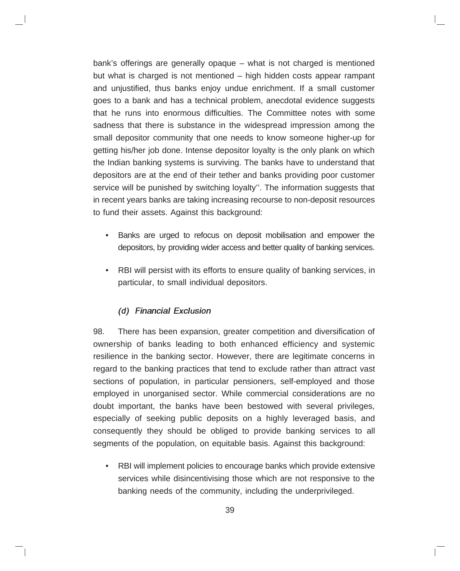bank's offerings are generally opaque – what is not charged is mentioned but what is charged is not mentioned – high hidden costs appear rampant and unjustified, thus banks enjoy undue enrichment. If a small customer goes to a bank and has a technical problem, anecdotal evidence suggests that he runs into enormous difficulties. The Committee notes with some sadness that there is substance in the widespread impression among the small depositor community that one needs to know someone higher-up for getting his/her job done. Intense depositor loyalty is the only plank on which the Indian banking systems is surviving. The banks have to understand that depositors are at the end of their tether and banks providing poor customer service will be punished by switching loyalty''. The information suggests that in recent years banks are taking increasing recourse to non-deposit resources to fund their assets. Against this background:

- Banks are urged to refocus on deposit mobilisation and empower the depositors, by providing wider access and better quality of banking services.
- RBI will persist with its efforts to ensure quality of banking services, in particular, to small individual depositors.

#### (d) Financial Exclusion

98. There has been expansion, greater competition and diversification of ownership of banks leading to both enhanced efficiency and systemic resilience in the banking sector. However, there are legitimate concerns in regard to the banking practices that tend to exclude rather than attract vast sections of population, in particular pensioners, self-employed and those employed in unorganised sector. While commercial considerations are no doubt important, the banks have been bestowed with several privileges, especially of seeking public deposits on a highly leveraged basis, and consequently they should be obliged to provide banking services to all segments of the population, on equitable basis. Against this background:

• RBI will implement policies to encourage banks which provide extensive services while disincentivising those which are not responsive to the banking needs of the community, including the underprivileged.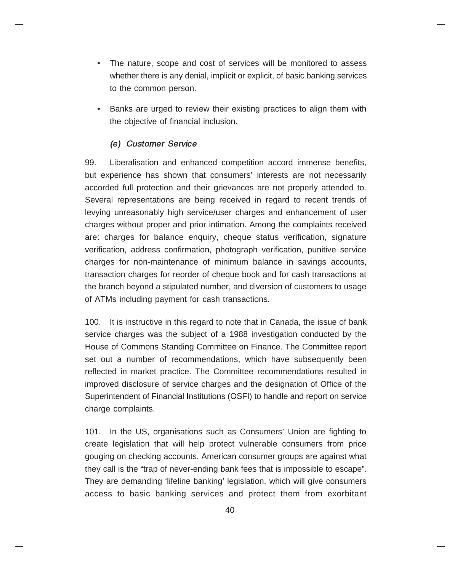- The nature, scope and cost of services will be monitored to assess whether there is any denial, implicit or explicit, of basic banking services to the common person.
- Banks are urged to review their existing practices to align them with the objective of financial inclusion.

#### (e) Customer Service

99. Liberalisation and enhanced competition accord immense benefits, but experience has shown that consumers' interests are not necessarily accorded full protection and their grievances are not properly attended to. Several representations are being received in regard to recent trends of levying unreasonably high service/user charges and enhancement of user charges without proper and prior intimation. Among the complaints received are: charges for balance enquiry, cheque status verification, signature verification, address confirmation, photograph verification, punitive service charges for non-maintenance of minimum balance in savings accounts, transaction charges for reorder of cheque book and for cash transactions at the branch beyond a stipulated number, and diversion of customers to usage of ATMs including payment for cash transactions.

100. It is instructive in this regard to note that in Canada, the issue of bank service charges was the subject of a 1988 investigation conducted by the House of Commons Standing Committee on Finance. The Committee report set out a number of recommendations, which have subsequently been reflected in market practice. The Committee recommendations resulted in improved disclosure of service charges and the designation of Office of the Superintendent of Financial Institutions (OSFI) to handle and report on service charge complaints.

101. In the US, organisations such as Consumers' Union are fighting to create legislation that will help protect vulnerable consumers from price gouging on checking accounts. American consumer groups are against what they call is the "trap of never-ending bank fees that is impossible to escape". They are demanding 'lifeline banking' legislation, which will give consumers access to basic banking services and protect them from exorbitant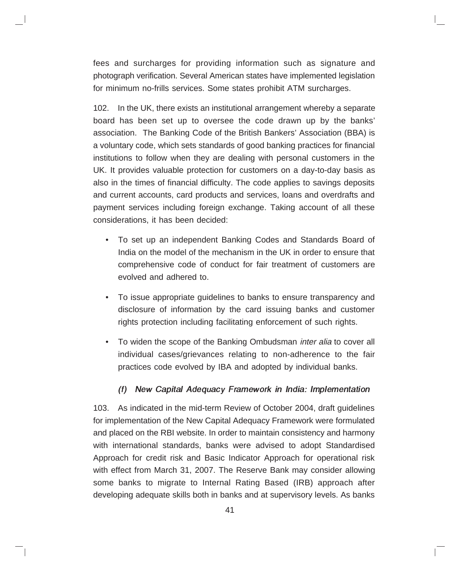fees and surcharges for providing information such as signature and photograph verification. Several American states have implemented legislation for minimum no-frills services. Some states prohibit ATM surcharges.

102. In the UK, there exists an institutional arrangement whereby a separate board has been set up to oversee the code drawn up by the banks' association. The Banking Code of the British Bankers' Association (BBA) is a voluntary code, which sets standards of good banking practices for financial institutions to follow when they are dealing with personal customers in the UK. It provides valuable protection for customers on a day-to-day basis as also in the times of financial difficulty. The code applies to savings deposits and current accounts, card products and services, loans and overdrafts and payment services including foreign exchange. Taking account of all these considerations, it has been decided:

- To set up an independent Banking Codes and Standards Board of India on the model of the mechanism in the UK in order to ensure that comprehensive code of conduct for fair treatment of customers are evolved and adhered to.
- To issue appropriate guidelines to banks to ensure transparency and disclosure of information by the card issuing banks and customer rights protection including facilitating enforcement of such rights.
- To widen the scope of the Banking Ombudsman *inter alia* to cover all individual cases/grievances relating to non-adherence to the fair practices code evolved by IBA and adopted by individual banks.

### (f) New Capital Adequacy Framework in India: Implementation

103. As indicated in the mid-term Review of October 2004, draft guidelines for implementation of the New Capital Adequacy Framework were formulated and placed on the RBI website. In order to maintain consistency and harmony with international standards, banks were advised to adopt Standardised Approach for credit risk and Basic Indicator Approach for operational risk with effect from March 31, 2007. The Reserve Bank may consider allowing some banks to migrate to Internal Rating Based (IRB) approach after developing adequate skills both in banks and at supervisory levels. As banks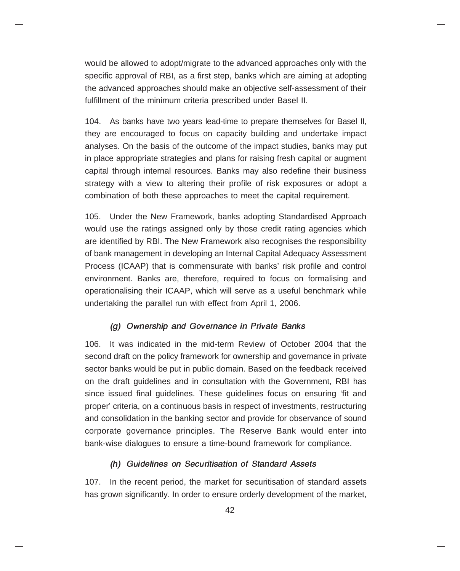would be allowed to adopt/migrate to the advanced approaches only with the specific approval of RBI, as a first step, banks which are aiming at adopting the advanced approaches should make an objective self-assessment of their fulfillment of the minimum criteria prescribed under Basel II.

104. As banks have two years lead-time to prepare themselves for Basel II, they are encouraged to focus on capacity building and undertake impact analyses. On the basis of the outcome of the impact studies, banks may put in place appropriate strategies and plans for raising fresh capital or augment capital through internal resources. Banks may also redefine their business strategy with a view to altering their profile of risk exposures or adopt a combination of both these approaches to meet the capital requirement.

105. Under the New Framework, banks adopting Standardised Approach would use the ratings assigned only by those credit rating agencies which are identified by RBI. The New Framework also recognises the responsibility of bank management in developing an Internal Capital Adequacy Assessment Process (ICAAP) that is commensurate with banks' risk profile and control environment. Banks are, therefore, required to focus on formalising and operationalising their ICAAP, which will serve as a useful benchmark while undertaking the parallel run with effect from April 1, 2006.

### (g) Ownership and Governance in Private Banks

106. It was indicated in the mid-term Review of October 2004 that the second draft on the policy framework for ownership and governance in private sector banks would be put in public domain. Based on the feedback received on the draft guidelines and in consultation with the Government, RBI has since issued final guidelines. These guidelines focus on ensuring 'fit and proper' criteria, on a continuous basis in respect of investments, restructuring and consolidation in the banking sector and provide for observance of sound corporate governance principles. The Reserve Bank would enter into bank-wise dialogues to ensure a time-bound framework for compliance.

#### (h) Guidelines on Securitisation of Standard Assets

107. In the recent period, the market for securitisation of standard assets has grown significantly. In order to ensure orderly development of the market,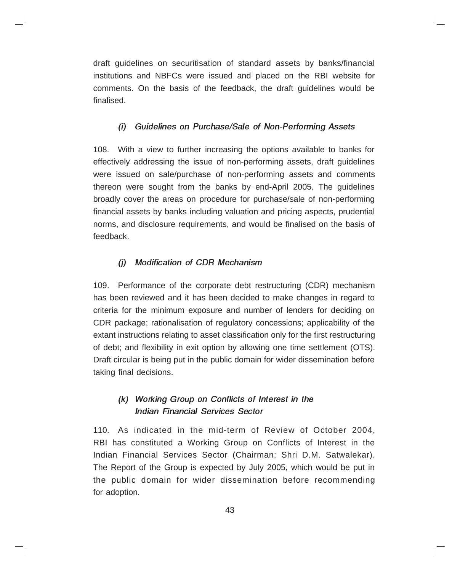draft guidelines on securitisation of standard assets by banks/financial institutions and NBFCs were issued and placed on the RBI website for comments. On the basis of the feedback, the draft guidelines would be finalised.

### (i) Guidelines on Purchase/Sale of Non-Performing Assets

108. With a view to further increasing the options available to banks for effectively addressing the issue of non-performing assets, draft guidelines were issued on sale/purchase of non-performing assets and comments thereon were sought from the banks by end-April 2005. The guidelines broadly cover the areas on procedure for purchase/sale of non-performing financial assets by banks including valuation and pricing aspects, prudential norms, and disclosure requirements, and would be finalised on the basis of feedback.

## (j) Modification of CDR Mechanism

109. Performance of the corporate debt restructuring (CDR) mechanism has been reviewed and it has been decided to make changes in regard to criteria for the minimum exposure and number of lenders for deciding on CDR package; rationalisation of regulatory concessions; applicability of the extant instructions relating to asset classification only for the first restructuring of debt; and flexibility in exit option by allowing one time settlement (OTS). Draft circular is being put in the public domain for wider dissemination before taking final decisions.

## (k) Working Group on Conflicts of Interest in the Indian Financial Services Sector

110. As indicated in the mid-term of Review of October 2004, RBI has constituted a Working Group on Conflicts of Interest in the Indian Financial Services Sector (Chairman: Shri D.M. Satwalekar). The Report of the Group is expected by July 2005, which would be put in the public domain for wider dissemination before recommending for adoption.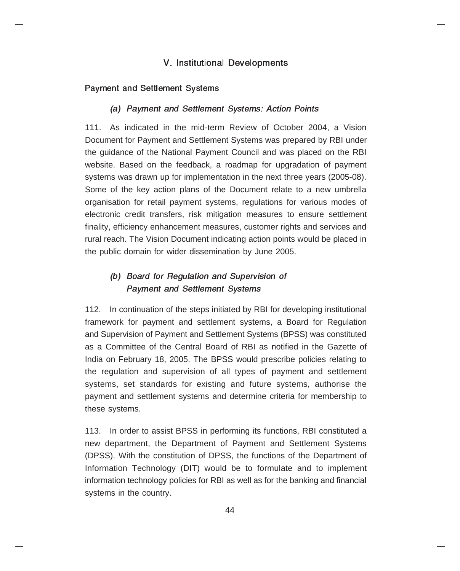### V. Institutional Developments

### Payment and Settlement Systems

### (a) Payment and Settlement Systems: Action Points

111. As indicated in the mid-term Review of October 2004, a Vision Document for Payment and Settlement Systems was prepared by RBI under the guidance of the National Payment Council and was placed on the RBI website. Based on the feedback, a roadmap for upgradation of payment systems was drawn up for implementation in the next three years (2005-08). Some of the key action plans of the Document relate to a new umbrella organisation for retail payment systems, regulations for various modes of electronic credit transfers, risk mitigation measures to ensure settlement finality, efficiency enhancement measures, customer rights and services and rural reach. The Vision Document indicating action points would be placed in the public domain for wider dissemination by June 2005.

# (b) Board for Regulation and Supervision of Payment and Settlement Systems

112. In continuation of the steps initiated by RBI for developing institutional framework for payment and settlement systems, a Board for Regulation and Supervision of Payment and Settlement Systems (BPSS) was constituted as a Committee of the Central Board of RBI as notified in the Gazette of India on February 18, 2005. The BPSS would prescribe policies relating to the regulation and supervision of all types of payment and settlement systems, set standards for existing and future systems, authorise the payment and settlement systems and determine criteria for membership to these systems.

113. In order to assist BPSS in performing its functions, RBI constituted a new department, the Department of Payment and Settlement Systems (DPSS). With the constitution of DPSS, the functions of the Department of Information Technology (DIT) would be to formulate and to implement information technology policies for RBI as well as for the banking and financial systems in the country.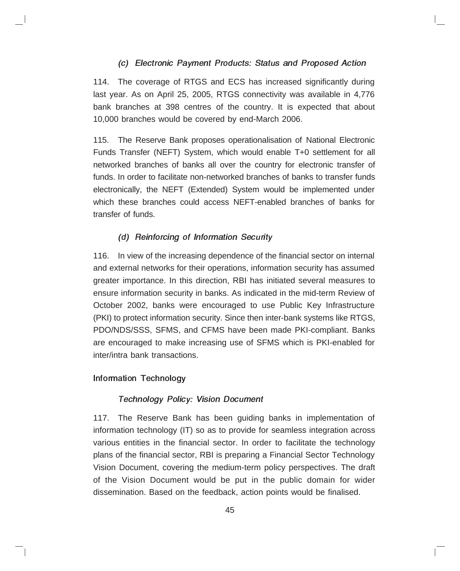### (c) Electronic Payment Products: Status and Proposed Action

114. The coverage of RTGS and ECS has increased significantly during last year. As on April 25, 2005, RTGS connectivity was available in 4,776 bank branches at 398 centres of the country. It is expected that about 10,000 branches would be covered by end-March 2006.

115. The Reserve Bank proposes operationalisation of National Electronic Funds Transfer (NEFT) System, which would enable T+0 settlement for all networked branches of banks all over the country for electronic transfer of funds. In order to facilitate non-networked branches of banks to transfer funds electronically, the NEFT (Extended) System would be implemented under which these branches could access NEFT-enabled branches of banks for transfer of funds.

#### (d) Reinforcing of Information Security

116. In view of the increasing dependence of the financial sector on internal and external networks for their operations, information security has assumed greater importance. In this direction, RBI has initiated several measures to ensure information security in banks. As indicated in the mid-term Review of October 2002, banks were encouraged to use Public Key Infrastructure (PKI) to protect information security. Since then inter-bank systems like RTGS, PDO/NDS/SSS, SFMS, and CFMS have been made PKI-compliant. Banks are encouraged to make increasing use of SFMS which is PKI-enabled for inter/intra bank transactions.

#### Information Technology

#### Technology Policy: Vision Document

117. The Reserve Bank has been guiding banks in implementation of information technology (IT) so as to provide for seamless integration across various entities in the financial sector. In order to facilitate the technology plans of the financial sector, RBI is preparing a Financial Sector Technology Vision Document, covering the medium-term policy perspectives. The draft of the Vision Document would be put in the public domain for wider dissemination. Based on the feedback, action points would be finalised.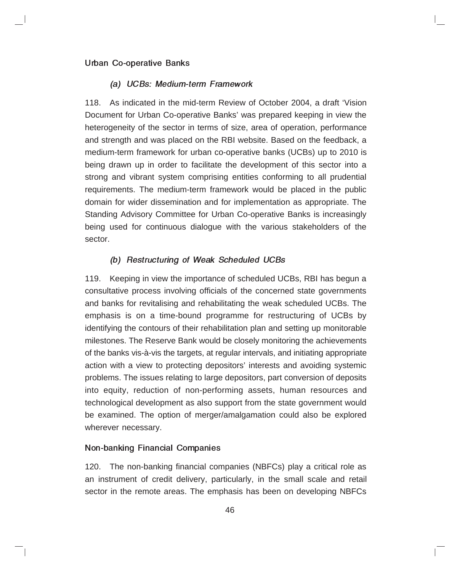#### Urban Co-operative Banks

#### (a) UCBs: Medium-term Framework

118. As indicated in the mid-term Review of October 2004, a draft 'Vision Document for Urban Co-operative Banks' was prepared keeping in view the heterogeneity of the sector in terms of size, area of operation, performance and strength and was placed on the RBI website. Based on the feedback, a medium-term framework for urban co-operative banks (UCBs) up to 2010 is being drawn up in order to facilitate the development of this sector into a strong and vibrant system comprising entities conforming to all prudential requirements. The medium-term framework would be placed in the public domain for wider dissemination and for implementation as appropriate. The Standing Advisory Committee for Urban Co-operative Banks is increasingly being used for continuous dialogue with the various stakeholders of the sector.

### (b) Restructuring of Weak Scheduled UCBs

119. Keeping in view the importance of scheduled UCBs, RBI has begun a consultative process involving officials of the concerned state governments and banks for revitalising and rehabilitating the weak scheduled UCBs. The emphasis is on a time-bound programme for restructuring of UCBs by identifying the contours of their rehabilitation plan and setting up monitorable milestones. The Reserve Bank would be closely monitoring the achievements of the banks vis-à-vis the targets, at regular intervals, and initiating appropriate action with a view to protecting depositors' interests and avoiding systemic problems. The issues relating to large depositors, part conversion of deposits into equity, reduction of non-performing assets, human resources and technological development as also support from the state government would be examined. The option of merger/amalgamation could also be explored wherever necessary.

#### Non-banking Financial Companies

120. The non-banking financial companies (NBFCs) play a critical role as an instrument of credit delivery, particularly, in the small scale and retail sector in the remote areas. The emphasis has been on developing NBFCs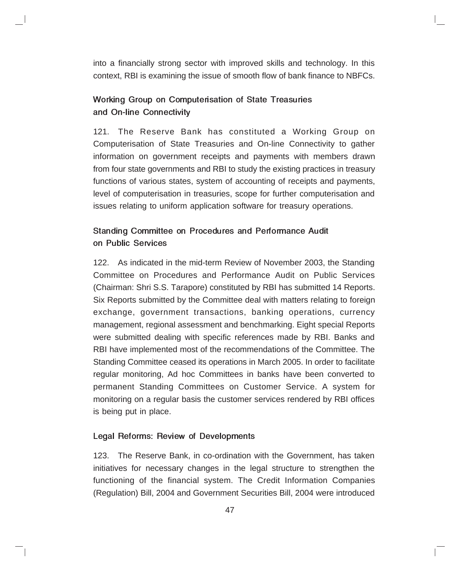into a financially strong sector with improved skills and technology. In this context, RBI is examining the issue of smooth flow of bank finance to NBFCs.

## Working Group on Computerisation of State Treasuries and On-line Connectivity

121. The Reserve Bank has constituted a Working Group on Computerisation of State Treasuries and On-line Connectivity to gather information on government receipts and payments with members drawn from four state governments and RBI to study the existing practices in treasury functions of various states, system of accounting of receipts and payments, level of computerisation in treasuries, scope for further computerisation and issues relating to uniform application software for treasury operations.

## Standing Committee on Procedures and Performance Audit on Public Services

122. As indicated in the mid-term Review of November 2003, the Standing Committee on Procedures and Performance Audit on Public Services (Chairman: Shri S.S. Tarapore) constituted by RBI has submitted 14 Reports. Six Reports submitted by the Committee deal with matters relating to foreign exchange, government transactions, banking operations, currency management, regional assessment and benchmarking. Eight special Reports were submitted dealing with specific references made by RBI. Banks and RBI have implemented most of the recommendations of the Committee. The Standing Committee ceased its operations in March 2005. In order to facilitate regular monitoring, Ad hoc Committees in banks have been converted to permanent Standing Committees on Customer Service. A system for monitoring on a regular basis the customer services rendered by RBI offices is being put in place.

### Legal Reforms: Review of Developments

123. The Reserve Bank, in co-ordination with the Government, has taken initiatives for necessary changes in the legal structure to strengthen the functioning of the financial system. The Credit Information Companies (Regulation) Bill, 2004 and Government Securities Bill, 2004 were introduced